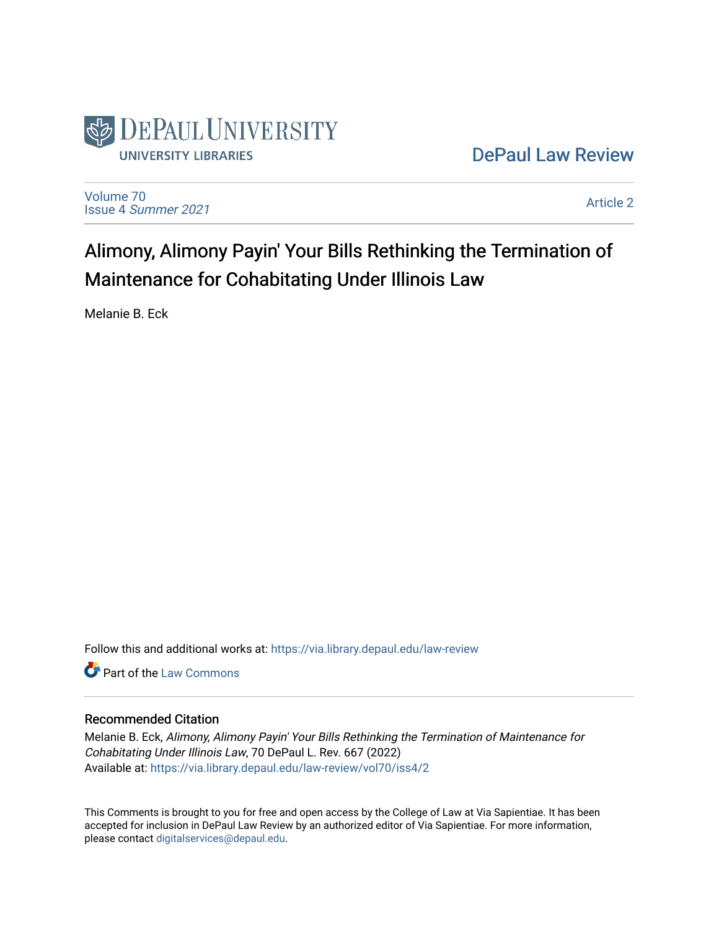

# [DePaul Law Review](https://via.library.depaul.edu/law-review)

[Volume 70](https://via.library.depaul.edu/law-review/vol70) Issue 4 [Summer 2021](https://via.library.depaul.edu/law-review/vol70/iss4) 

[Article 2](https://via.library.depaul.edu/law-review/vol70/iss4/2) 

Alimony, Alimony Payin' Your Bills Rethinking the Termination of Maintenance for Cohabitating Under Illinois Law

Melanie B. Eck

Follow this and additional works at: [https://via.library.depaul.edu/law-review](https://via.library.depaul.edu/law-review?utm_source=via.library.depaul.edu%2Flaw-review%2Fvol70%2Fiss4%2F2&utm_medium=PDF&utm_campaign=PDFCoverPages) 

Part of the [Law Commons](http://network.bepress.com/hgg/discipline/578?utm_source=via.library.depaul.edu%2Flaw-review%2Fvol70%2Fiss4%2F2&utm_medium=PDF&utm_campaign=PDFCoverPages)

## Recommended Citation

Melanie B. Eck, Alimony, Alimony Payin' Your Bills Rethinking the Termination of Maintenance for Cohabitating Under Illinois Law, 70 DePaul L. Rev. 667 (2022) Available at: [https://via.library.depaul.edu/law-review/vol70/iss4/2](https://via.library.depaul.edu/law-review/vol70/iss4/2?utm_source=via.library.depaul.edu%2Flaw-review%2Fvol70%2Fiss4%2F2&utm_medium=PDF&utm_campaign=PDFCoverPages) 

This Comments is brought to you for free and open access by the College of Law at Via Sapientiae. It has been accepted for inclusion in DePaul Law Review by an authorized editor of Via Sapientiae. For more information, please contact [digitalservices@depaul.edu.](mailto:digitalservices@depaul.edu)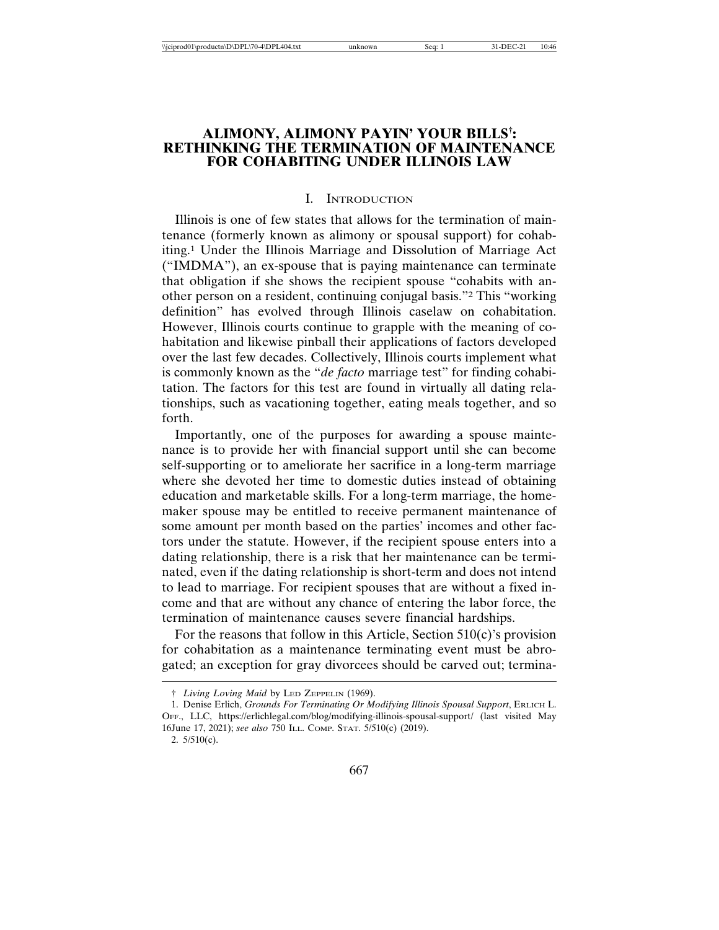## **ALIMONY, ALIMONY PAYIN' YOUR BILLS† : RETHINKING THE TERMINATION OF MAINTENANCE FOR COHABITING UNDER ILLINOIS LAW**

#### I. INTRODUCTION

Illinois is one of few states that allows for the termination of maintenance (formerly known as alimony or spousal support) for cohabiting.1 Under the Illinois Marriage and Dissolution of Marriage Act ("IMDMA"), an ex-spouse that is paying maintenance can terminate that obligation if she shows the recipient spouse "cohabits with another person on a resident, continuing conjugal basis."2 This "working definition" has evolved through Illinois caselaw on cohabitation. However, Illinois courts continue to grapple with the meaning of cohabitation and likewise pinball their applications of factors developed over the last few decades. Collectively, Illinois courts implement what is commonly known as the "*de facto* marriage test" for finding cohabitation. The factors for this test are found in virtually all dating relationships, such as vacationing together, eating meals together, and so forth.

Importantly, one of the purposes for awarding a spouse maintenance is to provide her with financial support until she can become self-supporting or to ameliorate her sacrifice in a long-term marriage where she devoted her time to domestic duties instead of obtaining education and marketable skills. For a long-term marriage, the homemaker spouse may be entitled to receive permanent maintenance of some amount per month based on the parties' incomes and other factors under the statute. However, if the recipient spouse enters into a dating relationship, there is a risk that her maintenance can be terminated, even if the dating relationship is short-term and does not intend to lead to marriage. For recipient spouses that are without a fixed income and that are without any chance of entering the labor force, the termination of maintenance causes severe financial hardships.

For the reasons that follow in this Article, Section 510(c)'s provision for cohabitation as a maintenance terminating event must be abrogated; an exception for gray divorcees should be carved out; termina-

2. 5/510(c).

<sup>†</sup> *Living Loving Maid* by LED ZEPPELIN (1969).

<sup>1.</sup> Denise Erlich, *Grounds For Terminating Or Modifying Illinois Spousal Support*, ERLICH L. OFF., LLC, https://erlichlegal.com/blog/modifying-illinois-spousal-support/ (last visited May 16June 17, 2021); *see also* 750 ILL. COMP. STAT. 5/510(c) (2019).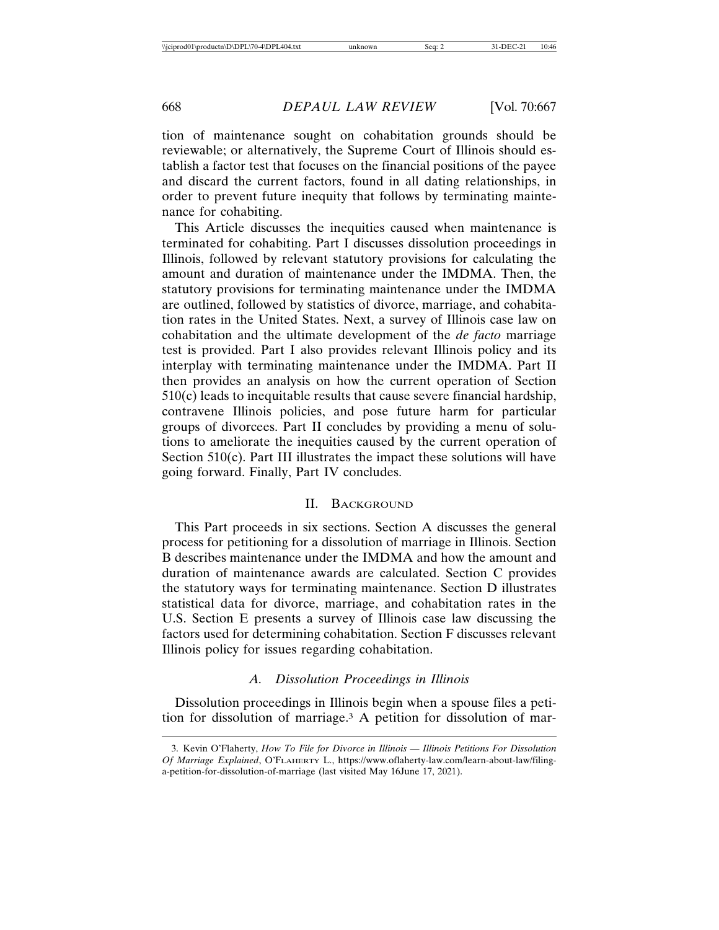tion of maintenance sought on cohabitation grounds should be reviewable; or alternatively, the Supreme Court of Illinois should establish a factor test that focuses on the financial positions of the payee and discard the current factors, found in all dating relationships, in order to prevent future inequity that follows by terminating maintenance for cohabiting.

This Article discusses the inequities caused when maintenance is terminated for cohabiting. Part I discusses dissolution proceedings in Illinois, followed by relevant statutory provisions for calculating the amount and duration of maintenance under the IMDMA. Then, the statutory provisions for terminating maintenance under the IMDMA are outlined, followed by statistics of divorce, marriage, and cohabitation rates in the United States. Next, a survey of Illinois case law on cohabitation and the ultimate development of the *de facto* marriage test is provided. Part I also provides relevant Illinois policy and its interplay with terminating maintenance under the IMDMA. Part II then provides an analysis on how the current operation of Section  $510(c)$  leads to inequitable results that cause severe financial hardship, contravene Illinois policies, and pose future harm for particular groups of divorcees. Part II concludes by providing a menu of solutions to ameliorate the inequities caused by the current operation of Section 510(c). Part III illustrates the impact these solutions will have going forward. Finally, Part IV concludes.

#### II. BACKGROUND

This Part proceeds in six sections. Section A discusses the general process for petitioning for a dissolution of marriage in Illinois. Section B describes maintenance under the IMDMA and how the amount and duration of maintenance awards are calculated. Section C provides the statutory ways for terminating maintenance. Section D illustrates statistical data for divorce, marriage, and cohabitation rates in the U.S. Section E presents a survey of Illinois case law discussing the factors used for determining cohabitation. Section F discusses relevant Illinois policy for issues regarding cohabitation.

## *A. Dissolution Proceedings in Illinois*

Dissolution proceedings in Illinois begin when a spouse files a petition for dissolution of marriage.3 A petition for dissolution of mar-

<sup>3.</sup> Kevin O'Flaherty, *How To File for Divorce in Illinois — Illinois Petitions For Dissolution Of Marriage Explained*, O'FLAHERTY L., https://www.oflaherty-law.com/learn-about-law/filinga-petition-for-dissolution-of-marriage (last visited May 16June 17, 2021).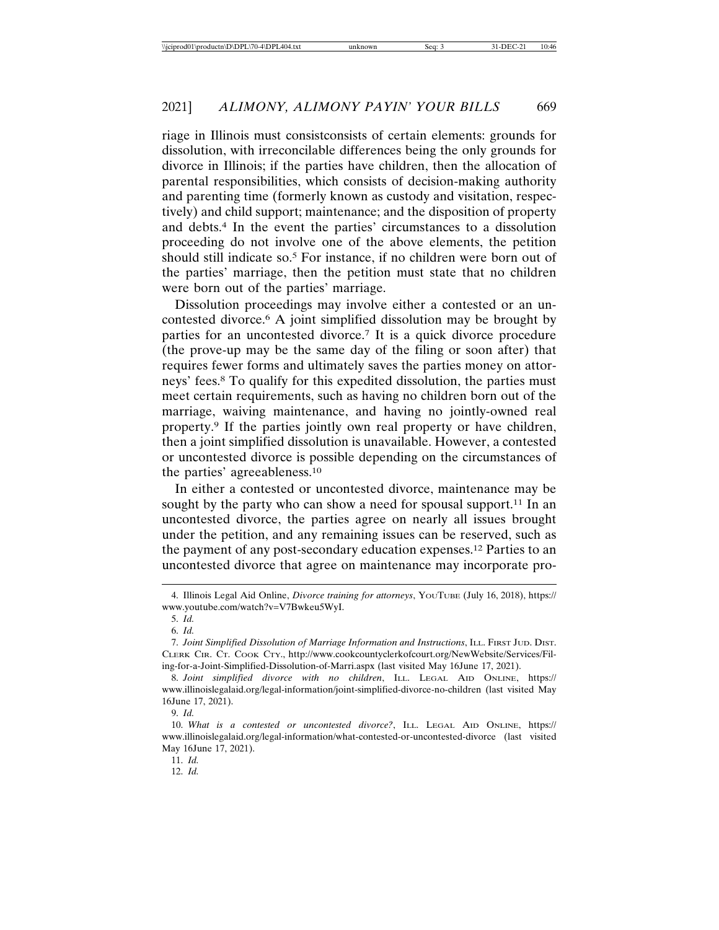riage in Illinois must consistconsists of certain elements: grounds for dissolution, with irreconcilable differences being the only grounds for divorce in Illinois; if the parties have children, then the allocation of parental responsibilities, which consists of decision-making authority and parenting time (formerly known as custody and visitation, respectively) and child support; maintenance; and the disposition of property and debts.4 In the event the parties' circumstances to a dissolution proceeding do not involve one of the above elements, the petition should still indicate so.5 For instance, if no children were born out of the parties' marriage, then the petition must state that no children were born out of the parties' marriage.

Dissolution proceedings may involve either a contested or an uncontested divorce.6 A joint simplified dissolution may be brought by parties for an uncontested divorce.7 It is a quick divorce procedure (the prove-up may be the same day of the filing or soon after) that requires fewer forms and ultimately saves the parties money on attorneys' fees.8 To qualify for this expedited dissolution, the parties must meet certain requirements, such as having no children born out of the marriage, waiving maintenance, and having no jointly-owned real property.9 If the parties jointly own real property or have children, then a joint simplified dissolution is unavailable. However, a contested or uncontested divorce is possible depending on the circumstances of the parties' agreeableness.10

In either a contested or uncontested divorce, maintenance may be sought by the party who can show a need for spousal support.<sup>11</sup> In an uncontested divorce, the parties agree on nearly all issues brought under the petition, and any remaining issues can be reserved, such as the payment of any post-secondary education expenses.12 Parties to an uncontested divorce that agree on maintenance may incorporate pro-

12. *Id.*

<sup>4.</sup> Illinois Legal Aid Online, *Divorce training for attorneys*, YOUTUBE (July 16, 2018), https:// www.youtube.com/watch?v=V7Bwkeu5WyI.

<sup>5.</sup> *Id.*

<sup>6.</sup> *Id.*

<sup>7.</sup> *Joint Simplified Dissolution of Marriage Information and Instructions*, ILL. FIRST JUD. DIST. CLERK CIR. CT. COOK CTY., http://www.cookcountyclerkofcourt.org/NewWebsite/Services/Filing-for-a-Joint-Simplified-Dissolution-of-Marri.aspx (last visited May 16June 17, 2021).

<sup>8.</sup> *Joint simplified divorce with no children*, ILL. LEGAL AID ONLINE, https:// www.illinoislegalaid.org/legal-information/joint-simplified-divorce-no-children (last visited May 16June 17, 2021).

<sup>9.</sup> *Id.*

<sup>10.</sup> *What is a contested or uncontested divorce?*, ILL. LEGAL AID ONLINE, https:// www.illinoislegalaid.org/legal-information/what-contested-or-uncontested-divorce (last visited May 16June 17, 2021).

<sup>11.</sup> *Id.*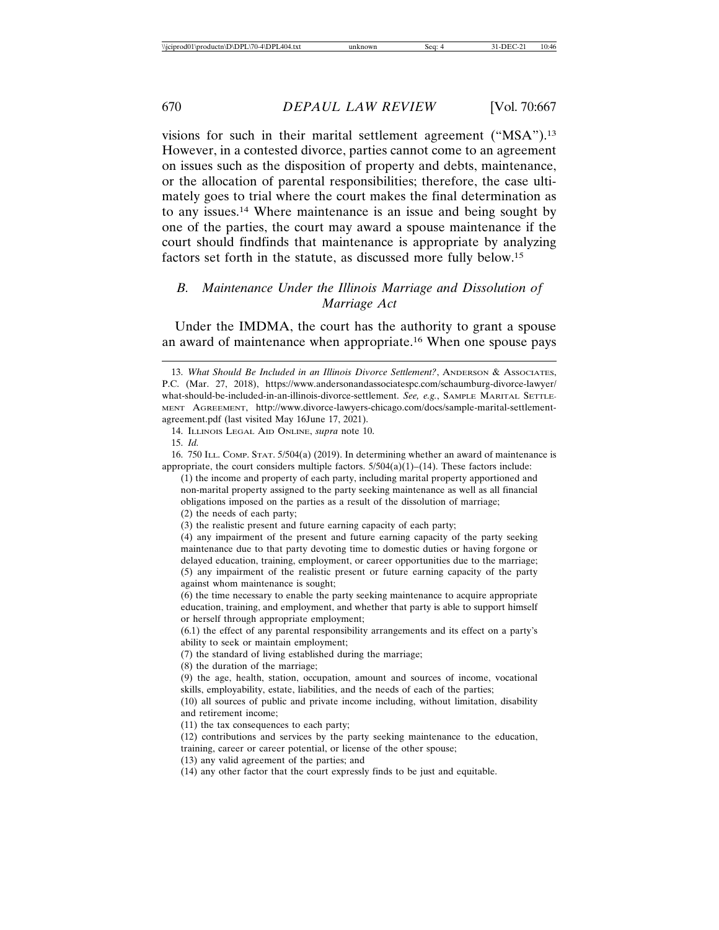visions for such in their marital settlement agreement ("MSA").13 However, in a contested divorce, parties cannot come to an agreement on issues such as the disposition of property and debts, maintenance, or the allocation of parental responsibilities; therefore, the case ultimately goes to trial where the court makes the final determination as to any issues.14 Where maintenance is an issue and being sought by one of the parties, the court may award a spouse maintenance if the court should findfinds that maintenance is appropriate by analyzing factors set forth in the statute, as discussed more fully below.15

## *B. Maintenance Under the Illinois Marriage and Dissolution of Marriage Act*

Under the IMDMA, the court has the authority to grant a spouse an award of maintenance when appropriate.16 When one spouse pays

(13) any valid agreement of the parties; and

<sup>13.</sup> What Should Be Included in an Illinois Divorce Settlement?, ANDERSON & ASSOCIATES, P.C. (Mar. 27, 2018), https://www.andersonandassociatespc.com/schaumburg-divorce-lawyer/ what-should-be-included-in-an-illinois-divorce-settlement. *See, e.g.*, SAMPLE MARITAL SETTLE-MENT AGREEMENT, http://www.divorce-lawyers-chicago.com/docs/sample-marital-settlementagreement.pdf (last visited May 16June 17, 2021).

<sup>14.</sup> ILLINOIS LEGAL AID ONLINE, *supra* note 10.

<sup>15.</sup> *Id.*

<sup>16. 750</sup> ILL. COMP. STAT. 5/504(a) (2019). In determining whether an award of maintenance is appropriate, the court considers multiple factors.  $5/504(a)(1)$ –(14). These factors include:

<sup>(1)</sup> the income and property of each party, including marital property apportioned and non-marital property assigned to the party seeking maintenance as well as all financial obligations imposed on the parties as a result of the dissolution of marriage;

<sup>(2)</sup> the needs of each party;

<sup>(3)</sup> the realistic present and future earning capacity of each party;

<sup>(4)</sup> any impairment of the present and future earning capacity of the party seeking maintenance due to that party devoting time to domestic duties or having forgone or delayed education, training, employment, or career opportunities due to the marriage; (5) any impairment of the realistic present or future earning capacity of the party against whom maintenance is sought;

<sup>(6)</sup> the time necessary to enable the party seeking maintenance to acquire appropriate education, training, and employment, and whether that party is able to support himself or herself through appropriate employment;

<sup>(6.1)</sup> the effect of any parental responsibility arrangements and its effect on a party's ability to seek or maintain employment;

<sup>(7)</sup> the standard of living established during the marriage;

<sup>(8)</sup> the duration of the marriage;

<sup>(9)</sup> the age, health, station, occupation, amount and sources of income, vocational skills, employability, estate, liabilities, and the needs of each of the parties;

<sup>(10)</sup> all sources of public and private income including, without limitation, disability and retirement income;

<sup>(11)</sup> the tax consequences to each party;

<sup>(12)</sup> contributions and services by the party seeking maintenance to the education, training, career or career potential, or license of the other spouse;

<sup>(14)</sup> any other factor that the court expressly finds to be just and equitable.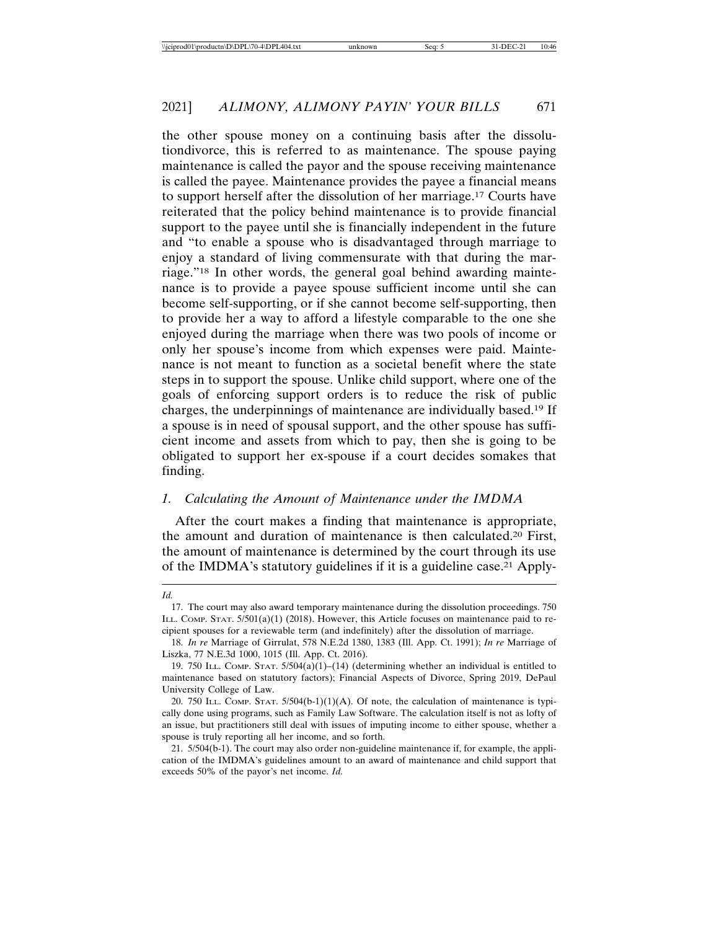the other spouse money on a continuing basis after the dissolutiondivorce, this is referred to as maintenance. The spouse paying maintenance is called the payor and the spouse receiving maintenance is called the payee. Maintenance provides the payee a financial means to support herself after the dissolution of her marriage.17 Courts have reiterated that the policy behind maintenance is to provide financial support to the payee until she is financially independent in the future and "to enable a spouse who is disadvantaged through marriage to enjoy a standard of living commensurate with that during the marriage."18 In other words, the general goal behind awarding maintenance is to provide a payee spouse sufficient income until she can become self-supporting, or if she cannot become self-supporting, then to provide her a way to afford a lifestyle comparable to the one she enjoyed during the marriage when there was two pools of income or only her spouse's income from which expenses were paid. Maintenance is not meant to function as a societal benefit where the state steps in to support the spouse. Unlike child support, where one of the goals of enforcing support orders is to reduce the risk of public charges, the underpinnings of maintenance are individually based.19 If a spouse is in need of spousal support, and the other spouse has sufficient income and assets from which to pay, then she is going to be obligated to support her ex-spouse if a court decides somakes that finding.

### *1. Calculating the Amount of Maintenance under the IMDMA*

After the court makes a finding that maintenance is appropriate, the amount and duration of maintenance is then calculated.20 First, the amount of maintenance is determined by the court through its use of the IMDMA's statutory guidelines if it is a guideline case.21 Apply-

*Id.*

<sup>17.</sup> The court may also award temporary maintenance during the dissolution proceedings. 750 ILL. COMP. STAT. 5/501(a)(1) (2018). However, this Article focuses on maintenance paid to recipient spouses for a reviewable term (and indefinitely) after the dissolution of marriage.

<sup>18.</sup> *In re* Marriage of Girrulat, 578 N.E.2d 1380, 1383 (Ill. App. Ct. 1991); *In re* Marriage of Liszka, 77 N.E.3d 1000, 1015 (Ill. App. Ct. 2016).

<sup>19. 750</sup> ILL. COMP. STAT.  $5/504(a)(1)-(14)$  (determining whether an individual is entitled to maintenance based on statutory factors); Financial Aspects of Divorce, Spring 2019, DePaul University College of Law.

<sup>20. 750</sup> ILL. COMP. STAT.  $5/504(b-1)(1)(A)$ . Of note, the calculation of maintenance is typically done using programs, such as Family Law Software. The calculation itself is not as lofty of an issue, but practitioners still deal with issues of imputing income to either spouse, whether a spouse is truly reporting all her income, and so forth.

<sup>21. 5/504(</sup>b-1). The court may also order non-guideline maintenance if, for example, the application of the IMDMA's guidelines amount to an award of maintenance and child support that exceeds 50% of the payor's net income. *Id.*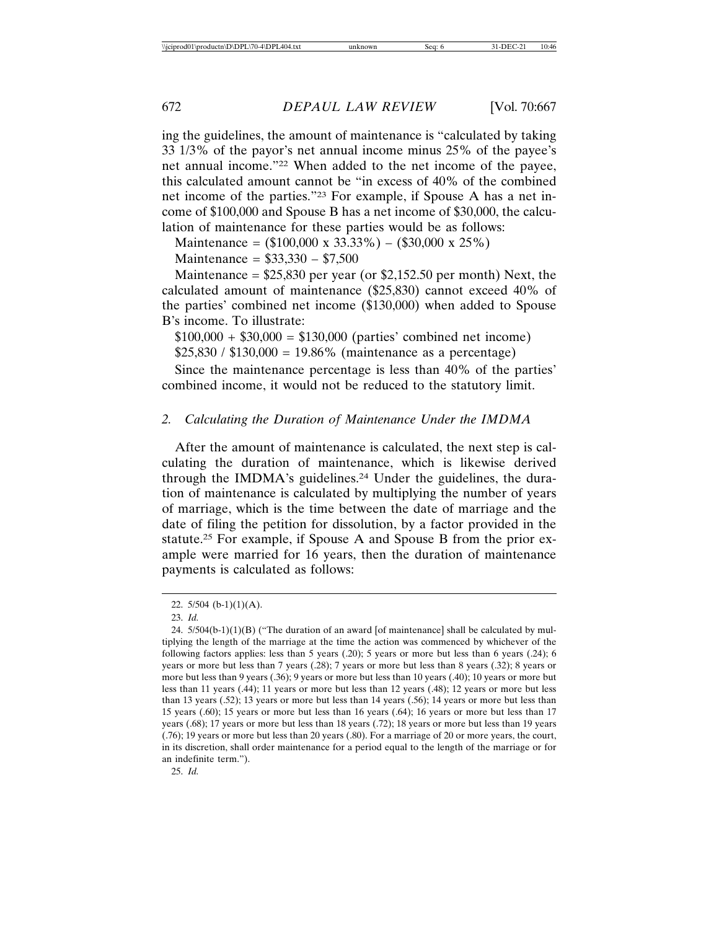ing the guidelines, the amount of maintenance is "calculated by taking 33 1/3% of the payor's net annual income minus 25% of the payee's net annual income."22 When added to the net income of the payee, this calculated amount cannot be "in excess of 40% of the combined net income of the parties."23 For example, if Spouse A has a net income of \$100,000 and Spouse B has a net income of \$30,000, the calculation of maintenance for these parties would be as follows:

Maintenance =  $(\$100,000 \times 33.33\%) - (\$30,000 \times 25\%)$ 

Maintenance = \$33,330 – \$7,500

Maintenance = \$25,830 per year (or \$2,152.50 per month) Next, the calculated amount of maintenance (\$25,830) cannot exceed 40% of the parties' combined net income (\$130,000) when added to Spouse B's income. To illustrate:

 $$100,000 + $30,000 = $130,000$  (parties' combined net income)  $$25,830 / $130,000 = 19.86\%$  (maintenance as a percentage)

Since the maintenance percentage is less than 40% of the parties' combined income, it would not be reduced to the statutory limit.

### *2. Calculating the Duration of Maintenance Under the IMDMA*

After the amount of maintenance is calculated, the next step is calculating the duration of maintenance, which is likewise derived through the IMDMA's guidelines.<sup>24</sup> Under the guidelines, the duration of maintenance is calculated by multiplying the number of years of marriage, which is the time between the date of marriage and the date of filing the petition for dissolution, by a factor provided in the statute.25 For example, if Spouse A and Spouse B from the prior example were married for 16 years, then the duration of maintenance payments is calculated as follows:

25. *Id.*

<sup>22.</sup>  $5/504$  (b-1)(1)(A).

<sup>23.</sup> *Id.*

<sup>24.</sup>  $5/504(b-1)(1)(B)$  ("The duration of an award [of maintenance] shall be calculated by multiplying the length of the marriage at the time the action was commenced by whichever of the following factors applies: less than 5 years (.20); 5 years or more but less than 6 years (.24); 6 years or more but less than 7 years (.28); 7 years or more but less than 8 years (.32); 8 years or more but less than 9 years (.36); 9 years or more but less than 10 years (.40); 10 years or more but less than 11 years (.44); 11 years or more but less than 12 years (.48); 12 years or more but less than 13 years (.52); 13 years or more but less than 14 years (.56); 14 years or more but less than 15 years (.60); 15 years or more but less than 16 years (.64); 16 years or more but less than 17 years (.68); 17 years or more but less than 18 years (.72); 18 years or more but less than 19 years (.76); 19 years or more but less than 20 years (.80). For a marriage of 20 or more years, the court, in its discretion, shall order maintenance for a period equal to the length of the marriage or for an indefinite term.").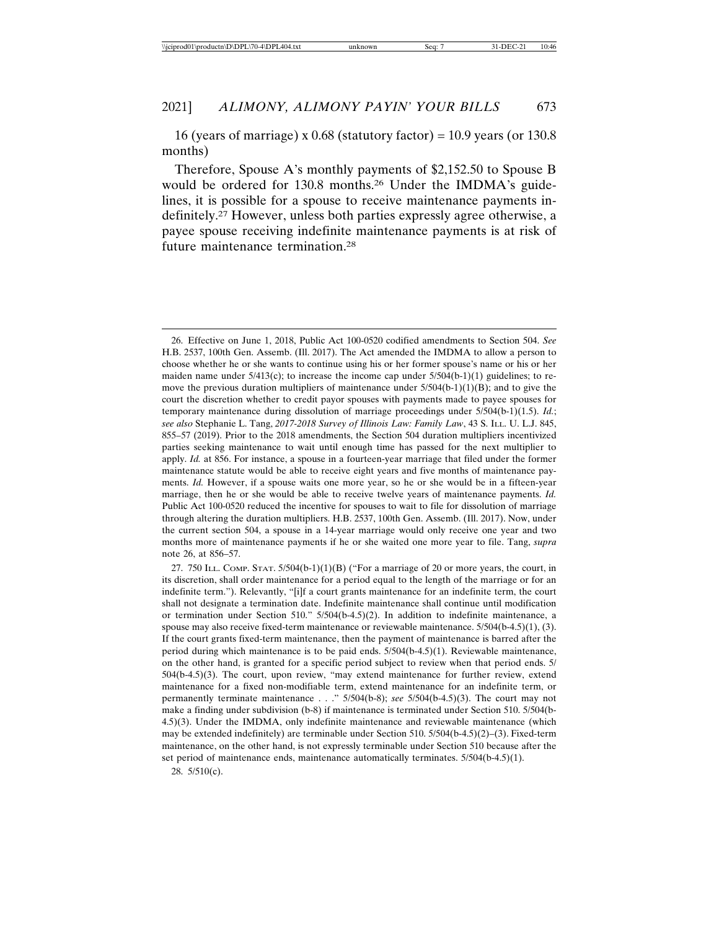16 (years of marriage) x  $0.68$  (statutory factor) = 10.9 years (or 130.8 months)

Therefore, Spouse A's monthly payments of \$2,152.50 to Spouse B would be ordered for 130.8 months.26 Under the IMDMA's guidelines, it is possible for a spouse to receive maintenance payments indefinitely.27 However, unless both parties expressly agree otherwise, a payee spouse receiving indefinite maintenance payments is at risk of future maintenance termination.28

28. 5/510(c).

<sup>26.</sup> Effective on June 1, 2018, Public Act 100-0520 codified amendments to Section 504. *See* H.B. 2537, 100th Gen. Assemb. (Ill. 2017). The Act amended the IMDMA to allow a person to choose whether he or she wants to continue using his or her former spouse's name or his or her maiden name under  $5/413(c)$ ; to increase the income cap under  $5/504(b-1)(1)$  guidelines; to remove the previous duration multipliers of maintenance under  $5/504(b-1)(1)(B)$ ; and to give the court the discretion whether to credit payor spouses with payments made to payee spouses for temporary maintenance during dissolution of marriage proceedings under 5/504(b-1)(1.5). *Id.*; *see also* Stephanie L. Tang, *2017-2018 Survey of Illinois Law: Family Law*, 43 S. ILL. U. L.J. 845, 855–57 (2019). Prior to the 2018 amendments, the Section 504 duration multipliers incentivized parties seeking maintenance to wait until enough time has passed for the next multiplier to apply. *Id.* at 856. For instance, a spouse in a fourteen-year marriage that filed under the former maintenance statute would be able to receive eight years and five months of maintenance payments. *Id.* However, if a spouse waits one more year, so he or she would be in a fifteen-year marriage, then he or she would be able to receive twelve years of maintenance payments. *Id.* Public Act 100-0520 reduced the incentive for spouses to wait to file for dissolution of marriage through altering the duration multipliers. H.B. 2537, 100th Gen. Assemb. (Ill. 2017). Now, under the current section 504, a spouse in a 14-year marriage would only receive one year and two months more of maintenance payments if he or she waited one more year to file. Tang, *supra* note 26, at 856–57.

<sup>27. 750</sup> ILL. COMP. STAT.  $5/504(b-1)(1)(B)$  ("For a marriage of 20 or more years, the court, in its discretion, shall order maintenance for a period equal to the length of the marriage or for an indefinite term."). Relevantly, "[i]f a court grants maintenance for an indefinite term, the court shall not designate a termination date. Indefinite maintenance shall continue until modification or termination under Section 510." 5/504(b-4.5)(2). In addition to indefinite maintenance, a spouse may also receive fixed-term maintenance or reviewable maintenance.  $5/504(b-4.5)(1)$ , (3). If the court grants fixed-term maintenance, then the payment of maintenance is barred after the period during which maintenance is to be paid ends. 5/504(b-4.5)(1). Reviewable maintenance, on the other hand, is granted for a specific period subject to review when that period ends. 5/ 504(b-4.5)(3). The court, upon review, "may extend maintenance for further review, extend maintenance for a fixed non-modifiable term, extend maintenance for an indefinite term, or permanently terminate maintenance . . ." 5/504(b-8); *see* 5/504(b-4.5)(3). The court may not make a finding under subdivision (b-8) if maintenance is terminated under Section 510. 5/504(b-4.5)(3). Under the IMDMA, only indefinite maintenance and reviewable maintenance (which may be extended indefinitely) are terminable under Section 510. 5/504(b-4.5)(2)–(3). Fixed-term maintenance, on the other hand, is not expressly terminable under Section 510 because after the set period of maintenance ends, maintenance automatically terminates. 5/504(b-4.5)(1).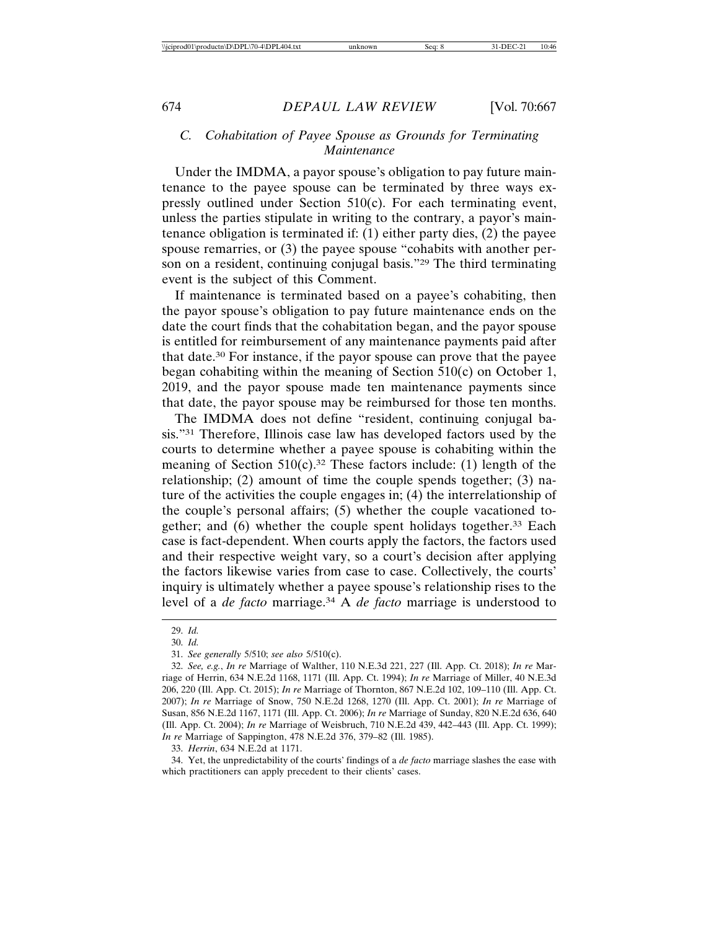## *C. Cohabitation of Payee Spouse as Grounds for Terminating Maintenance*

Under the IMDMA, a payor spouse's obligation to pay future maintenance to the payee spouse can be terminated by three ways expressly outlined under Section 510(c). For each terminating event, unless the parties stipulate in writing to the contrary, a payor's maintenance obligation is terminated if: (1) either party dies, (2) the payee spouse remarries, or (3) the payee spouse "cohabits with another person on a resident, continuing conjugal basis."29 The third terminating event is the subject of this Comment.

If maintenance is terminated based on a payee's cohabiting, then the payor spouse's obligation to pay future maintenance ends on the date the court finds that the cohabitation began, and the payor spouse is entitled for reimbursement of any maintenance payments paid after that date.30 For instance, if the payor spouse can prove that the payee began cohabiting within the meaning of Section 510(c) on October 1, 2019, and the payor spouse made ten maintenance payments since that date, the payor spouse may be reimbursed for those ten months.

The IMDMA does not define "resident, continuing conjugal basis."31 Therefore, Illinois case law has developed factors used by the courts to determine whether a payee spouse is cohabiting within the meaning of Section  $510(c)$ .<sup>32</sup> These factors include: (1) length of the relationship; (2) amount of time the couple spends together; (3) nature of the activities the couple engages in; (4) the interrelationship of the couple's personal affairs; (5) whether the couple vacationed together; and (6) whether the couple spent holidays together.<sup>33</sup> Each case is fact-dependent. When courts apply the factors, the factors used and their respective weight vary, so a court's decision after applying the factors likewise varies from case to case. Collectively, the courts' inquiry is ultimately whether a payee spouse's relationship rises to the level of a *de facto* marriage.34 A *de facto* marriage is understood to

33. *Herrin*, 634 N.E.2d at 1171.

34. Yet, the unpredictability of the courts' findings of a *de facto* marriage slashes the ease with which practitioners can apply precedent to their clients' cases.

<sup>29.</sup> *Id.*

<sup>30.</sup> *Id.*

<sup>31.</sup> *See generally* 5/510; *see also* 5/510(c).

<sup>32.</sup> *See, e.g.*, *In re* Marriage of Walther, 110 N.E.3d 221, 227 (Ill. App. Ct. 2018); *In re* Marriage of Herrin, 634 N.E.2d 1168, 1171 (Ill. App. Ct. 1994); *In re* Marriage of Miller, 40 N.E.3d 206, 220 (Ill. App. Ct. 2015); *In re* Marriage of Thornton, 867 N.E.2d 102, 109–110 (Ill. App. Ct. 2007); *In re* Marriage of Snow, 750 N.E.2d 1268, 1270 (Ill. App. Ct. 2001); *In re* Marriage of Susan, 856 N.E.2d 1167, 1171 (Ill. App. Ct. 2006); *In re* Marriage of Sunday, 820 N.E.2d 636, 640 (Ill. App. Ct. 2004); *In re* Marriage of Weisbruch, 710 N.E.2d 439, 442–443 (Ill. App. Ct. 1999); *In re* Marriage of Sappington, 478 N.E.2d 376, 379–82 (Ill. 1985).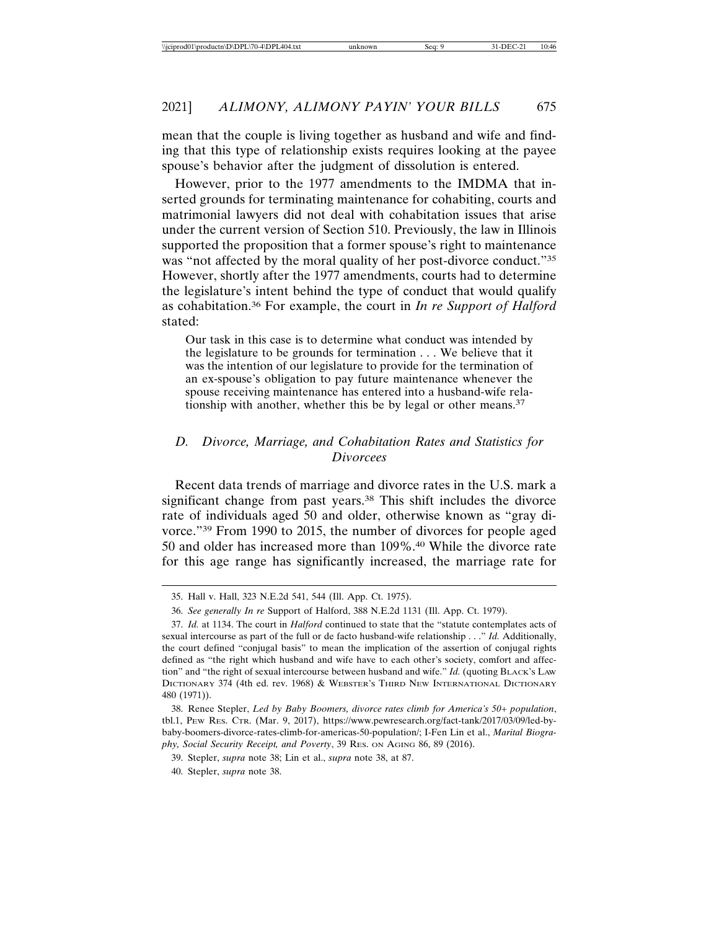mean that the couple is living together as husband and wife and finding that this type of relationship exists requires looking at the payee spouse's behavior after the judgment of dissolution is entered.

However, prior to the 1977 amendments to the IMDMA that inserted grounds for terminating maintenance for cohabiting, courts and matrimonial lawyers did not deal with cohabitation issues that arise under the current version of Section 510. Previously, the law in Illinois supported the proposition that a former spouse's right to maintenance was "not affected by the moral quality of her post-divorce conduct."35 However, shortly after the 1977 amendments, courts had to determine the legislature's intent behind the type of conduct that would qualify as cohabitation.36 For example, the court in *In re Support of Halford* stated:

Our task in this case is to determine what conduct was intended by the legislature to be grounds for termination . . . We believe that it was the intention of our legislature to provide for the termination of an ex-spouse's obligation to pay future maintenance whenever the spouse receiving maintenance has entered into a husband-wife relationship with another, whether this be by legal or other means.37

## *D. Divorce, Marriage, and Cohabitation Rates and Statistics for Divorcees*

Recent data trends of marriage and divorce rates in the U.S. mark a significant change from past years.<sup>38</sup> This shift includes the divorce rate of individuals aged 50 and older, otherwise known as "gray divorce."39 From 1990 to 2015, the number of divorces for people aged 50 and older has increased more than 109%.40 While the divorce rate for this age range has significantly increased, the marriage rate for

<sup>35.</sup> Hall v. Hall, 323 N.E.2d 541, 544 (Ill. App. Ct. 1975).

<sup>36.</sup> *See generally In re* Support of Halford, 388 N.E.2d 1131 (Ill. App. Ct. 1979).

<sup>37.</sup> *Id.* at 1134. The court in *Halford* continued to state that the "statute contemplates acts of sexual intercourse as part of the full or de facto husband-wife relationship . . ." *Id.* Additionally, the court defined "conjugal basis" to mean the implication of the assertion of conjugal rights defined as "the right which husband and wife have to each other's society, comfort and affection" and "the right of sexual intercourse between husband and wife." *Id.* (quoting BLACK'S LAW DICTIONARY 374 (4th ed. rev. 1968) & WEBSTER'S THIRD NEW INTERNATIONAL DICTIONARY 480 (1971)).

<sup>38.</sup> Renee Stepler, *Led by Baby Boomers, divorce rates climb for America's 50+ population*, tbl.1, PEW RES. CTR. (Mar. 9, 2017), https://www.pewresearch.org/fact-tank/2017/03/09/led-bybaby-boomers-divorce-rates-climb-for-americas-50-population/; I-Fen Lin et al., *Marital Biography, Social Security Receipt, and Poverty*, 39 RES. ON AGING 86, 89 (2016).

<sup>39.</sup> Stepler, *supra* note 38; Lin et al., *supra* note 38, at 87.

<sup>40.</sup> Stepler, *supra* note 38.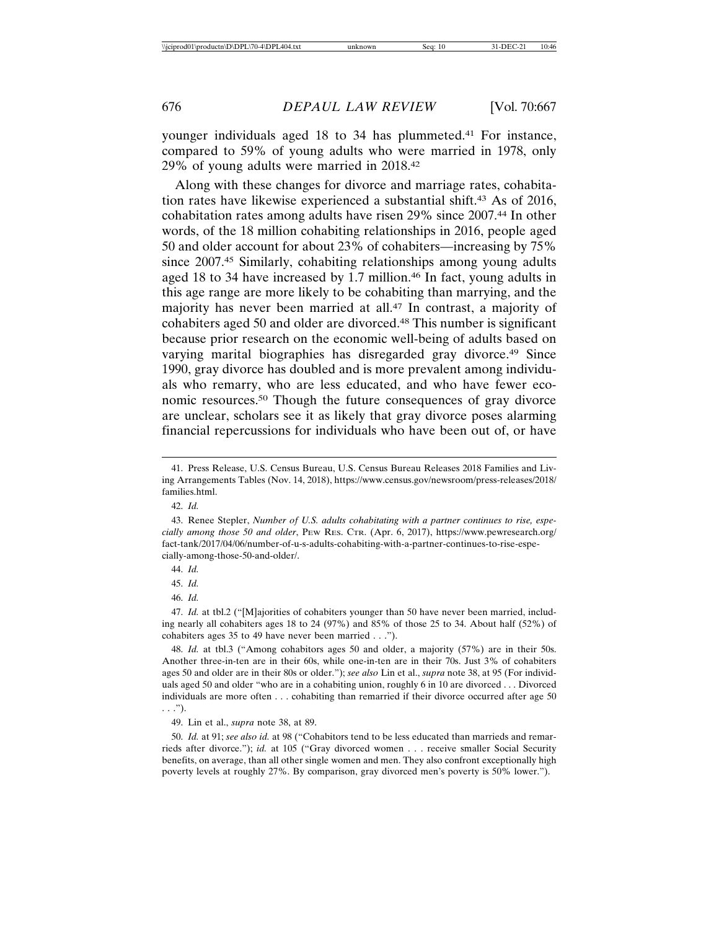younger individuals aged 18 to 34 has plummeted.<sup>41</sup> For instance, compared to 59% of young adults who were married in 1978, only 29% of young adults were married in 2018.42

Along with these changes for divorce and marriage rates, cohabitation rates have likewise experienced a substantial shift.43 As of 2016, cohabitation rates among adults have risen 29% since 2007.44 In other words, of the 18 million cohabiting relationships in 2016, people aged 50 and older account for about 23% of cohabiters—increasing by 75% since 2007.<sup>45</sup> Similarly, cohabiting relationships among young adults aged 18 to 34 have increased by 1.7 million.46 In fact, young adults in this age range are more likely to be cohabiting than marrying, and the majority has never been married at all.47 In contrast, a majority of cohabiters aged 50 and older are divorced.48 This number is significant because prior research on the economic well-being of adults based on varying marital biographies has disregarded gray divorce.<sup>49</sup> Since 1990, gray divorce has doubled and is more prevalent among individuals who remarry, who are less educated, and who have fewer economic resources.50 Though the future consequences of gray divorce are unclear, scholars see it as likely that gray divorce poses alarming financial repercussions for individuals who have been out of, or have

46. *Id.*

49. Lin et al., *supra* note 38, at 89.

50. *Id.* at 91; *see also id.* at 98 ("Cohabitors tend to be less educated than marrieds and remarrieds after divorce."); *id.* at 105 ("Gray divorced women . . . receive smaller Social Security benefits, on average, than all other single women and men. They also confront exceptionally high poverty levels at roughly 27%. By comparison, gray divorced men's poverty is 50% lower.").

<sup>41.</sup> Press Release, U.S. Census Bureau, U.S. Census Bureau Releases 2018 Families and Living Arrangements Tables (Nov. 14, 2018), https://www.census.gov/newsroom/press-releases/2018/ families.html.

<sup>42.</sup> *Id.*

<sup>43.</sup> Renee Stepler, *Number of U.S. adults cohabitating with a partner continues to rise, especially among those 50 and older*, PEW RES. CTR. (Apr. 6, 2017), https://www.pewresearch.org/ fact-tank/2017/04/06/number-of-u-s-adults-cohabiting-with-a-partner-continues-to-rise-especially-among-those-50-and-older/.

<sup>44.</sup> *Id.*

<sup>45.</sup> *Id.*

<sup>47.</sup> *Id.* at tbl.2 ("[M]ajorities of cohabiters younger than 50 have never been married, including nearly all cohabiters ages 18 to 24 (97%) and 85% of those 25 to 34. About half (52%) of cohabiters ages 35 to 49 have never been married . . .").

<sup>48.</sup> *Id.* at tbl.3 ("Among cohabitors ages 50 and older, a majority (57%) are in their 50s. Another three-in-ten are in their 60s, while one-in-ten are in their 70s. Just 3% of cohabiters ages 50 and older are in their 80s or older."); *see also* Lin et al., *supra* note 38, at 95 (For individuals aged 50 and older "who are in a cohabiting union, roughly 6 in 10 are divorced . . . Divorced individuals are more often . . . cohabiting than remarried if their divorce occurred after age 50 . . .").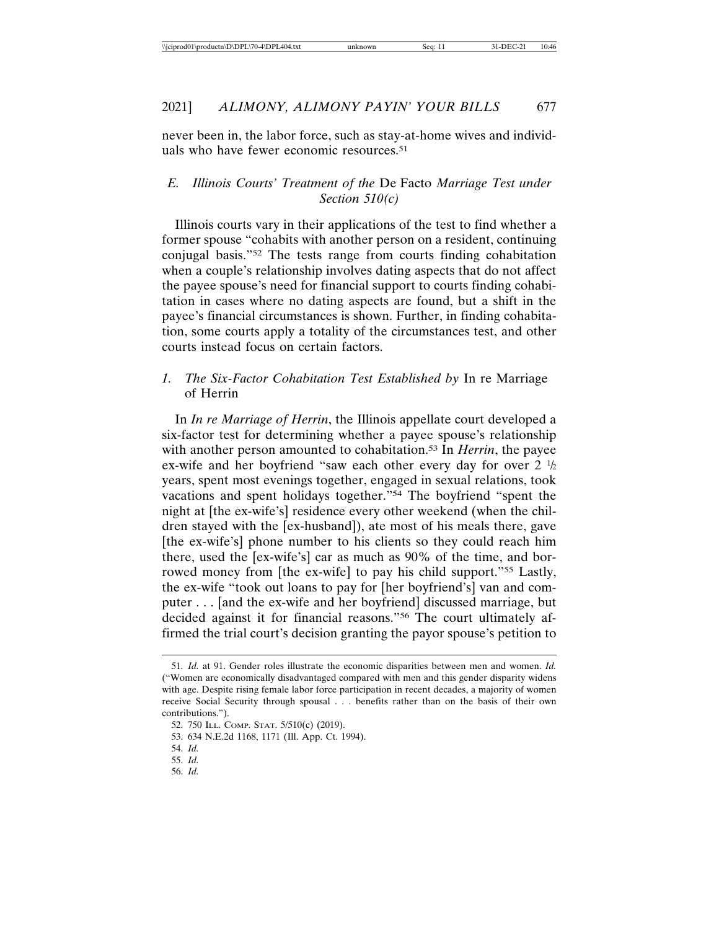never been in, the labor force, such as stay-at-home wives and individuals who have fewer economic resources.51

## *E. Illinois Courts' Treatment of the* De Facto *Marriage Test under Section 510(c)*

Illinois courts vary in their applications of the test to find whether a former spouse "cohabits with another person on a resident, continuing conjugal basis."52 The tests range from courts finding cohabitation when a couple's relationship involves dating aspects that do not affect the payee spouse's need for financial support to courts finding cohabitation in cases where no dating aspects are found, but a shift in the payee's financial circumstances is shown. Further, in finding cohabitation, some courts apply a totality of the circumstances test, and other courts instead focus on certain factors.

## *1. The Six-Factor Cohabitation Test Established by* In re Marriage of Herrin

In *In re Marriage of Herrin*, the Illinois appellate court developed a six-factor test for determining whether a payee spouse's relationship with another person amounted to cohabitation.53 In *Herrin*, the payee ex-wife and her boyfriend "saw each other every day for over  $2 \frac{1}{2}$ years, spent most evenings together, engaged in sexual relations, took vacations and spent holidays together."54 The boyfriend "spent the night at [the ex-wife's] residence every other weekend (when the children stayed with the [ex-husband]), ate most of his meals there, gave [the ex-wife's] phone number to his clients so they could reach him there, used the [ex-wife's] car as much as 90% of the time, and borrowed money from [the ex-wife] to pay his child support."<sup>55</sup> Lastly, the ex-wife "took out loans to pay for [her boyfriend's] van and computer . . . [and the ex-wife and her boyfriend] discussed marriage, but decided against it for financial reasons."56 The court ultimately affirmed the trial court's decision granting the payor spouse's petition to

<sup>51.</sup> *Id.* at 91. Gender roles illustrate the economic disparities between men and women. *Id.* ("Women are economically disadvantaged compared with men and this gender disparity widens with age. Despite rising female labor force participation in recent decades, a majority of women receive Social Security through spousal . . . benefits rather than on the basis of their own contributions.").

<sup>52. 750</sup> ILL. COMP. STAT. 5/510(c) (2019).

<sup>53. 634</sup> N.E.2d 1168, 1171 (Ill. App. Ct. 1994).

<sup>54.</sup> *Id.*

<sup>55.</sup> *Id.*

<sup>56.</sup> *Id.*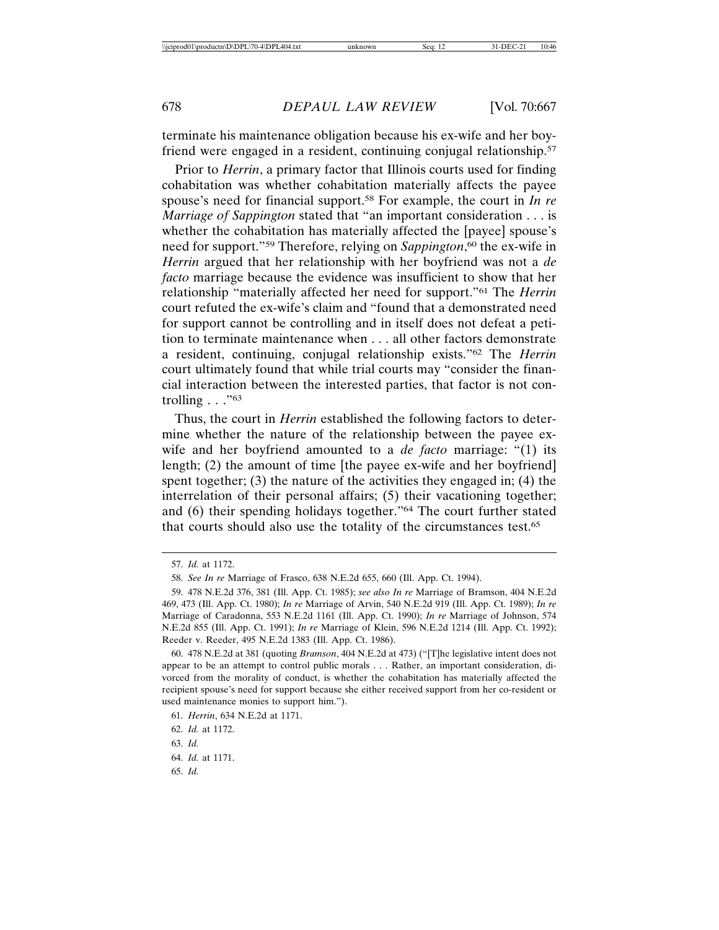terminate his maintenance obligation because his ex-wife and her boyfriend were engaged in a resident, continuing conjugal relationship.57

Prior to *Herrin*, a primary factor that Illinois courts used for finding cohabitation was whether cohabitation materially affects the payee spouse's need for financial support.58 For example, the court in *In re Marriage of Sappington* stated that "an important consideration . . . is whether the cohabitation has materially affected the [payee] spouse's need for support."59 Therefore, relying on *Sappington*, 60 the ex-wife in *Herrin* argued that her relationship with her boyfriend was not a *de facto* marriage because the evidence was insufficient to show that her relationship "materially affected her need for support."61 The *Herrin* court refuted the ex-wife's claim and "found that a demonstrated need for support cannot be controlling and in itself does not defeat a petition to terminate maintenance when . . . all other factors demonstrate a resident, continuing, conjugal relationship exists."62 The *Herrin* court ultimately found that while trial courts may "consider the financial interaction between the interested parties, that factor is not controlling  $\ldots$ ."63

Thus, the court in *Herrin* established the following factors to determine whether the nature of the relationship between the payee exwife and her boyfriend amounted to a *de facto* marriage: "(1) its length; (2) the amount of time [the payee ex-wife and her boyfriend] spent together; (3) the nature of the activities they engaged in; (4) the interrelation of their personal affairs; (5) their vacationing together; and (6) their spending holidays together."64 The court further stated that courts should also use the totality of the circumstances test.65

<sup>57.</sup> *Id.* at 1172.

<sup>58.</sup> *See In re* Marriage of Frasco, 638 N.E.2d 655, 660 (Ill. App. Ct. 1994).

<sup>59. 478</sup> N.E.2d 376, 381 (Ill. App. Ct. 1985); *see also In re* Marriage of Bramson, 404 N.E.2d 469, 473 (Ill. App. Ct. 1980); *In re* Marriage of Arvin, 540 N.E.2d 919 (Ill. App. Ct. 1989); *In re* Marriage of Caradonna, 553 N.E.2d 1161 (Ill. App. Ct. 1990); *In re* Marriage of Johnson, 574 N.E.2d 855 (Ill. App. Ct. 1991); *In re* Marriage of Klein, 596 N.E.2d 1214 (Ill. App. Ct. 1992); Reeder v. Reeder, 495 N.E.2d 1383 (Ill. App. Ct. 1986).

<sup>60. 478</sup> N.E.2d at 381 (quoting *Bramson*, 404 N.E.2d at 473) ("[T]he legislative intent does not appear to be an attempt to control public morals . . . Rather, an important consideration, divorced from the morality of conduct, is whether the cohabitation has materially affected the recipient spouse's need for support because she either received support from her co-resident or used maintenance monies to support him.").

<sup>61.</sup> *Herrin*, 634 N.E.2d at 1171.

<sup>62.</sup> *Id.* at 1172.

<sup>63.</sup> *Id.*

<sup>64.</sup> *Id.* at 1171.

<sup>65.</sup> *Id.*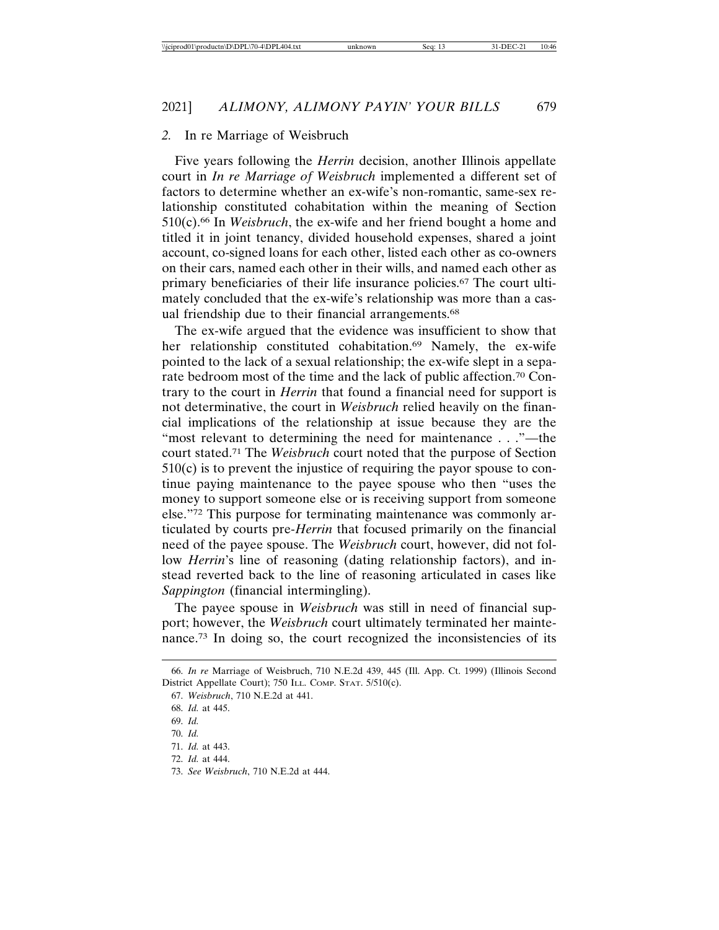#### *2.* In re Marriage of Weisbruch

Five years following the *Herrin* decision, another Illinois appellate court in *In re Marriage of Weisbruch* implemented a different set of factors to determine whether an ex-wife's non-romantic, same-sex relationship constituted cohabitation within the meaning of Section 510(c).66 In *Weisbruch*, the ex-wife and her friend bought a home and titled it in joint tenancy, divided household expenses, shared a joint account, co-signed loans for each other, listed each other as co-owners on their cars, named each other in their wills, and named each other as primary beneficiaries of their life insurance policies.67 The court ultimately concluded that the ex-wife's relationship was more than a casual friendship due to their financial arrangements.<sup>68</sup>

The ex-wife argued that the evidence was insufficient to show that her relationship constituted cohabitation.<sup>69</sup> Namely, the ex-wife pointed to the lack of a sexual relationship; the ex-wife slept in a separate bedroom most of the time and the lack of public affection.70 Contrary to the court in *Herrin* that found a financial need for support is not determinative, the court in *Weisbruch* relied heavily on the financial implications of the relationship at issue because they are the "most relevant to determining the need for maintenance . . ."—the court stated.71 The *Weisbruch* court noted that the purpose of Section  $510(c)$  is to prevent the injustice of requiring the payor spouse to continue paying maintenance to the payee spouse who then "uses the money to support someone else or is receiving support from someone else."72 This purpose for terminating maintenance was commonly articulated by courts pre-*Herrin* that focused primarily on the financial need of the payee spouse. The *Weisbruch* court, however, did not follow *Herrin*'s line of reasoning (dating relationship factors), and instead reverted back to the line of reasoning articulated in cases like *Sappington* (financial intermingling).

The payee spouse in *Weisbruch* was still in need of financial support; however, the *Weisbruch* court ultimately terminated her maintenance.73 In doing so, the court recognized the inconsistencies of its

<sup>66.</sup> *In re* Marriage of Weisbruch, 710 N.E.2d 439, 445 (Ill. App. Ct. 1999) (Illinois Second District Appellate Court); 750 ILL. COMP. STAT. 5/510(c).

<sup>67.</sup> *Weisbruch*, 710 N.E.2d at 441.

<sup>68.</sup> *Id.* at 445.

<sup>69.</sup> *Id.*

<sup>70.</sup> *Id.*

<sup>71.</sup> *Id.* at 443.

<sup>72.</sup> *Id.* at 444.

<sup>73.</sup> *See Weisbruch*, 710 N.E.2d at 444.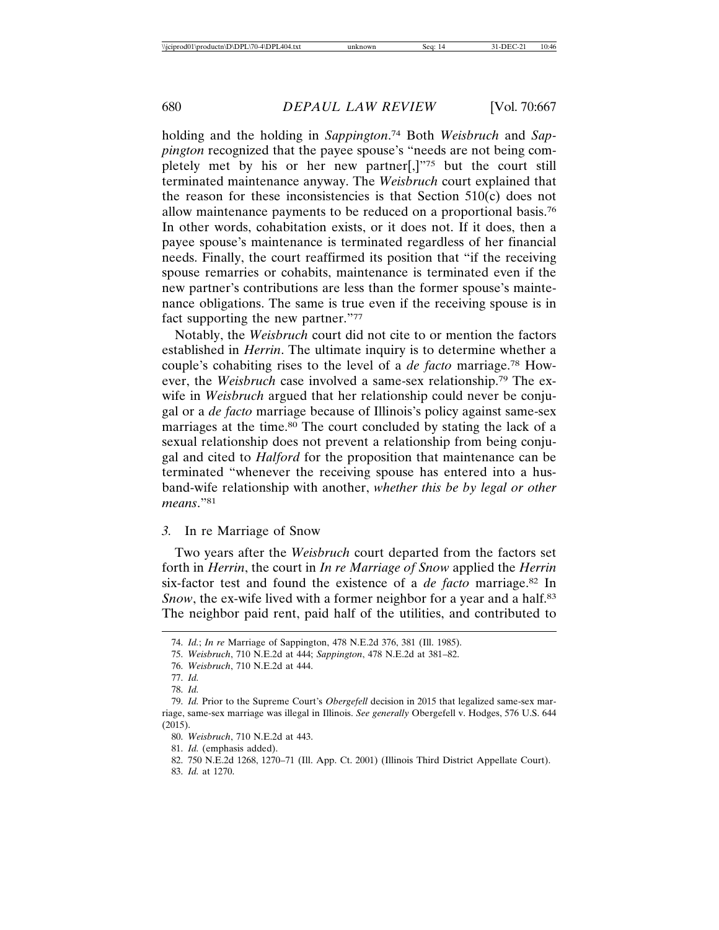holding and the holding in *Sappington*. 74 Both *Weisbruch* and *Sappington* recognized that the payee spouse's "needs are not being completely met by his or her new partner[,]"75 but the court still terminated maintenance anyway. The *Weisbruch* court explained that the reason for these inconsistencies is that Section 510(c) does not allow maintenance payments to be reduced on a proportional basis.76 In other words, cohabitation exists, or it does not. If it does, then a payee spouse's maintenance is terminated regardless of her financial needs. Finally, the court reaffirmed its position that "if the receiving spouse remarries or cohabits, maintenance is terminated even if the new partner's contributions are less than the former spouse's maintenance obligations. The same is true even if the receiving spouse is in fact supporting the new partner."77

Notably, the *Weisbruch* court did not cite to or mention the factors established in *Herrin*. The ultimate inquiry is to determine whether a couple's cohabiting rises to the level of a *de facto* marriage.78 However, the *Weisbruch* case involved a same-sex relationship.79 The exwife in *Weisbruch* argued that her relationship could never be conjugal or a *de facto* marriage because of Illinois's policy against same-sex marriages at the time.<sup>80</sup> The court concluded by stating the lack of a sexual relationship does not prevent a relationship from being conjugal and cited to *Halford* for the proposition that maintenance can be terminated "whenever the receiving spouse has entered into a husband-wife relationship with another, *whether this be by legal or other means*."81

#### *3.* In re Marriage of Snow

Two years after the *Weisbruch* court departed from the factors set forth in *Herrin*, the court in *In re Marriage of Snow* applied the *Herrin* six-factor test and found the existence of a *de facto* marriage.82 In *Snow*, the ex-wife lived with a former neighbor for a year and a half.<sup>83</sup> The neighbor paid rent, paid half of the utilities, and contributed to

<sup>74.</sup> *Id.*; *In re* Marriage of Sappington, 478 N.E.2d 376, 381 (Ill. 1985).

<sup>75.</sup> *Weisbruch*, 710 N.E.2d at 444; *Sappington*, 478 N.E.2d at 381–82.

<sup>76.</sup> *Weisbruch*, 710 N.E.2d at 444.

<sup>77.</sup> *Id.*

<sup>78.</sup> *Id.*

<sup>79.</sup> *Id.* Prior to the Supreme Court's *Obergefell* decision in 2015 that legalized same-sex marriage, same-sex marriage was illegal in Illinois. *See generally* Obergefell v. Hodges, 576 U.S. 644 (2015).

<sup>80.</sup> *Weisbruch*, 710 N.E.2d at 443.

<sup>81.</sup> *Id.* (emphasis added).

<sup>82. 750</sup> N.E.2d 1268, 1270–71 (Ill. App. Ct. 2001) (Illinois Third District Appellate Court).

<sup>83.</sup> *Id.* at 1270.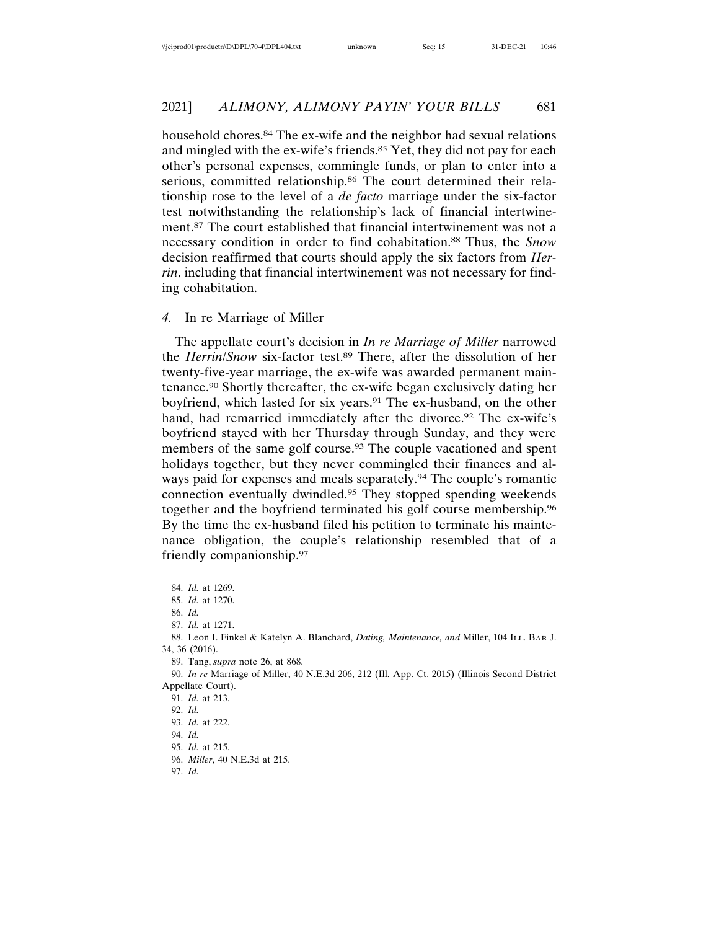household chores.<sup>84</sup> The ex-wife and the neighbor had sexual relations and mingled with the ex-wife's friends.<sup>85</sup> Yet, they did not pay for each other's personal expenses, commingle funds, or plan to enter into a serious, committed relationship.<sup>86</sup> The court determined their relationship rose to the level of a *de facto* marriage under the six-factor test notwithstanding the relationship's lack of financial intertwinement.87 The court established that financial intertwinement was not a necessary condition in order to find cohabitation.88 Thus, the *Snow* decision reaffirmed that courts should apply the six factors from *Herrin*, including that financial intertwinement was not necessary for finding cohabitation.

#### *4.* In re Marriage of Miller

The appellate court's decision in *In re Marriage of Miller* narrowed the *Herrin*/*Snow* six-factor test.89 There, after the dissolution of her twenty-five-year marriage, the ex-wife was awarded permanent maintenance.90 Shortly thereafter, the ex-wife began exclusively dating her boyfriend, which lasted for six years.<sup>91</sup> The ex-husband, on the other hand, had remarried immediately after the divorce.<sup>92</sup> The ex-wife's boyfriend stayed with her Thursday through Sunday, and they were members of the same golf course.93 The couple vacationed and spent holidays together, but they never commingled their finances and always paid for expenses and meals separately.94 The couple's romantic connection eventually dwindled.95 They stopped spending weekends together and the boyfriend terminated his golf course membership.96 By the time the ex-husband filed his petition to terminate his maintenance obligation, the couple's relationship resembled that of a friendly companionship.97

<sup>84.</sup> *Id.* at 1269. 85. *Id.* at 1270. 86. *Id.* 87. *Id.* at 1271. 88. Leon I. Finkel & Katelyn A. Blanchard, *Dating, Maintenance, and* Miller, 104 ILL. BAR J. 34, 36 (2016). 89. Tang, *supra* note 26, at 868. 90. *In re* Marriage of Miller, 40 N.E.3d 206, 212 (Ill. App. Ct. 2015) (Illinois Second District Appellate Court). 91. *Id.* at 213. 92. *Id.* 93. *Id.* at 222. 94. *Id.* 95. *Id.* at 215. 96. *Miller*, 40 N.E.3d at 215. 97. *Id.*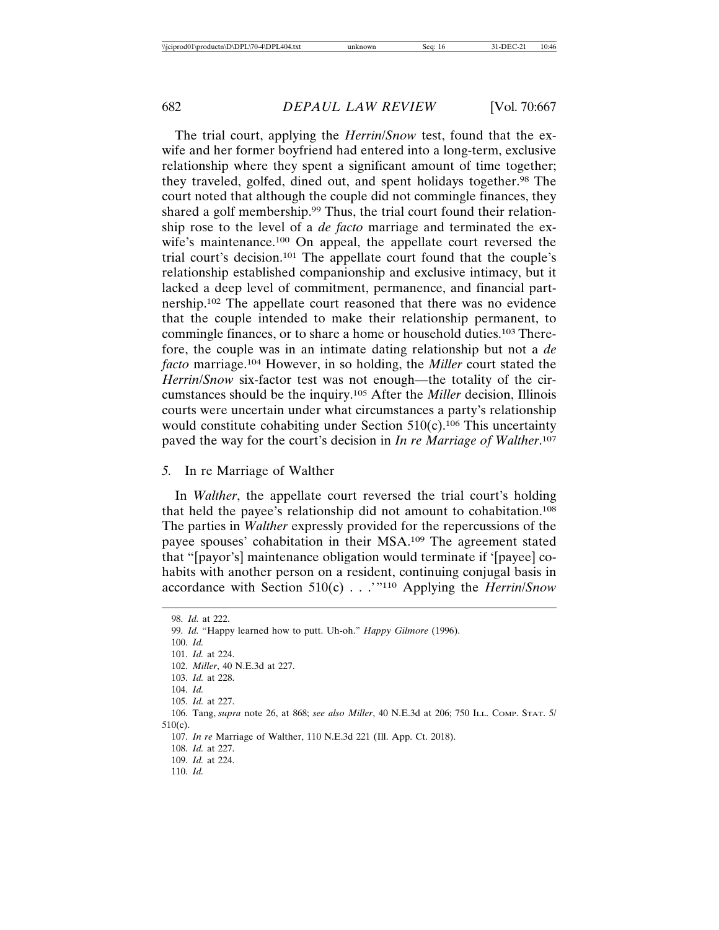The trial court, applying the *Herrin*/*Snow* test, found that the exwife and her former boyfriend had entered into a long-term, exclusive relationship where they spent a significant amount of time together; they traveled, golfed, dined out, and spent holidays together.98 The court noted that although the couple did not commingle finances, they shared a golf membership.<sup>99</sup> Thus, the trial court found their relationship rose to the level of a *de facto* marriage and terminated the exwife's maintenance.100 On appeal, the appellate court reversed the trial court's decision.101 The appellate court found that the couple's relationship established companionship and exclusive intimacy, but it lacked a deep level of commitment, permanence, and financial partnership.102 The appellate court reasoned that there was no evidence that the couple intended to make their relationship permanent, to commingle finances, or to share a home or household duties.103 Therefore, the couple was in an intimate dating relationship but not a *de facto* marriage.104 However, in so holding, the *Miller* court stated the *Herrin*/*Snow* six-factor test was not enough—the totality of the circumstances should be the inquiry.105 After the *Miller* decision, Illinois courts were uncertain under what circumstances a party's relationship would constitute cohabiting under Section  $510(c)$ .<sup>106</sup> This uncertainty paved the way for the court's decision in *In re Marriage of Walther*. 107

#### *5.* In re Marriage of Walther

In *Walther*, the appellate court reversed the trial court's holding that held the payee's relationship did not amount to cohabitation.108 The parties in *Walther* expressly provided for the repercussions of the payee spouses' cohabitation in their MSA.109 The agreement stated that "[payor's] maintenance obligation would terminate if '[payee] cohabits with another person on a resident, continuing conjugal basis in accordance with Section 510(c) . . .'"110 Applying the *Herrin*/*Snow*

98. *Id.* at 222. 99. *Id.* "Happy learned how to putt. Uh-oh." *Happy Gilmore* (1996). 100. *Id.* 101. *Id.* at 224. 102. *Miller*, 40 N.E.3d at 227. 103. *Id.* at 228. 104. *Id.* 105. *Id.* at 227. 106. Tang, *supra* note 26, at 868; *see also Miller*, 40 N.E.3d at 206; 750 ILL. COMP. STAT. 5/ 510(c). 107. *In re* Marriage of Walther, 110 N.E.3d 221 (Ill. App. Ct. 2018). 108. *Id.* at 227. 109. *Id.* at 224. 110. *Id.*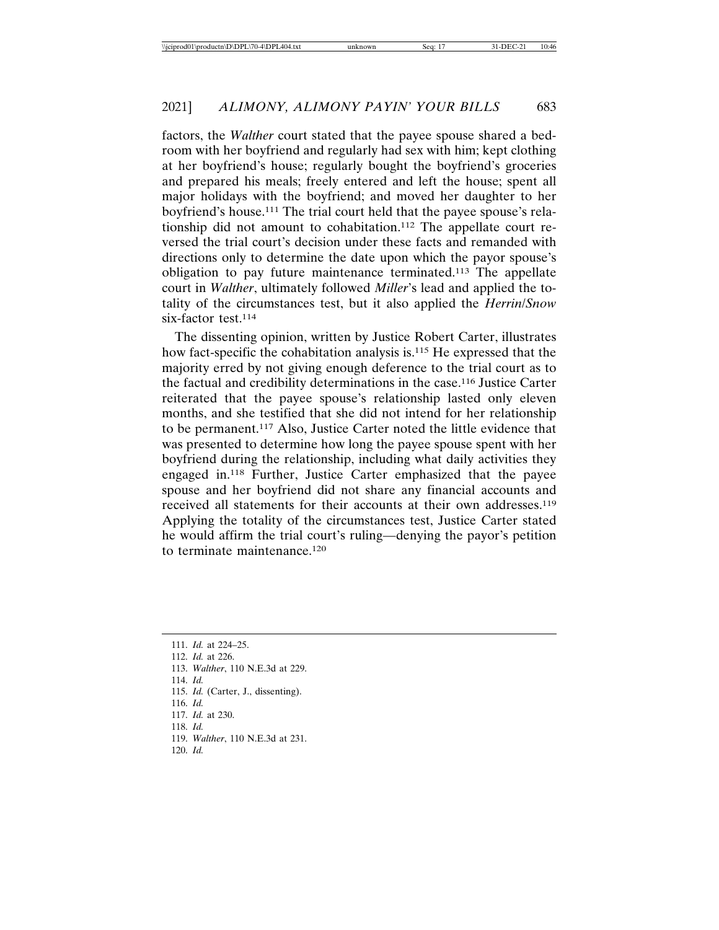factors, the *Walther* court stated that the payee spouse shared a bedroom with her boyfriend and regularly had sex with him; kept clothing at her boyfriend's house; regularly bought the boyfriend's groceries and prepared his meals; freely entered and left the house; spent all major holidays with the boyfriend; and moved her daughter to her boyfriend's house.111 The trial court held that the payee spouse's relationship did not amount to cohabitation.112 The appellate court reversed the trial court's decision under these facts and remanded with directions only to determine the date upon which the payor spouse's obligation to pay future maintenance terminated.113 The appellate court in *Walther*, ultimately followed *Miller*'s lead and applied the totality of the circumstances test, but it also applied the *Herrin*/*Snow* six-factor test.<sup>114</sup>

The dissenting opinion, written by Justice Robert Carter, illustrates how fact-specific the cohabitation analysis is.115 He expressed that the majority erred by not giving enough deference to the trial court as to the factual and credibility determinations in the case.116 Justice Carter reiterated that the payee spouse's relationship lasted only eleven months, and she testified that she did not intend for her relationship to be permanent.117 Also, Justice Carter noted the little evidence that was presented to determine how long the payee spouse spent with her boyfriend during the relationship, including what daily activities they engaged in.118 Further, Justice Carter emphasized that the payee spouse and her boyfriend did not share any financial accounts and received all statements for their accounts at their own addresses.<sup>119</sup> Applying the totality of the circumstances test, Justice Carter stated he would affirm the trial court's ruling—denying the payor's petition to terminate maintenance.120

114. *Id.*

- 116. *Id.*
- 117. *Id.* at 230.
- 118. *Id.*
- 119. *Walther*, 110 N.E.3d at 231.
- 120. *Id.*

<sup>111.</sup> *Id.* at 224–25.

<sup>112.</sup> *Id.* at 226.

<sup>113.</sup> *Walther*, 110 N.E.3d at 229.

<sup>115.</sup> *Id.* (Carter, J., dissenting).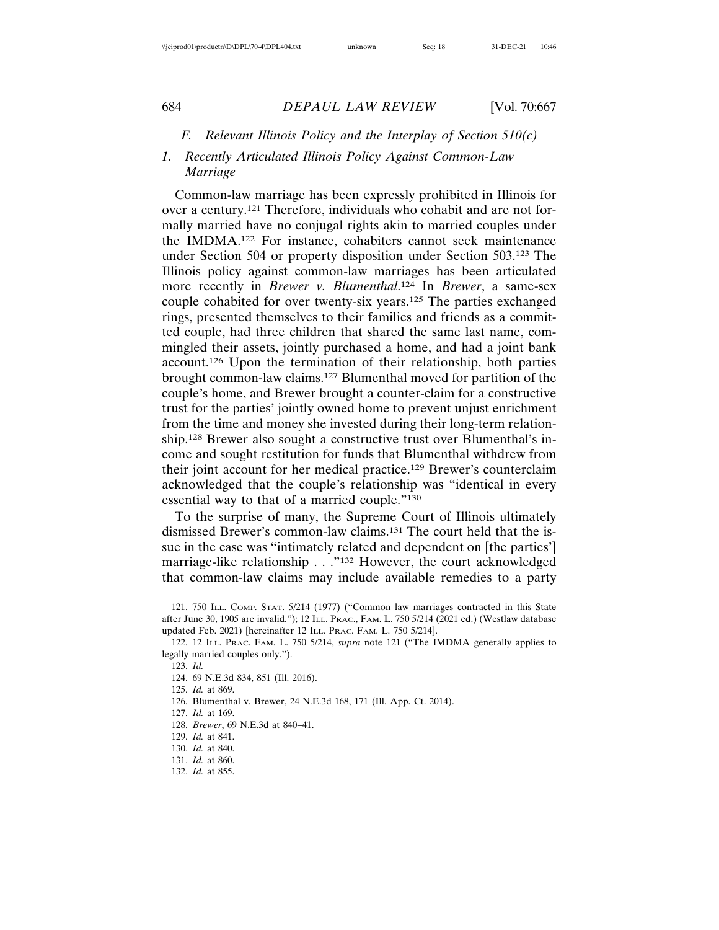#### *F. Relevant Illinois Policy and the Interplay of Section 510(c)*

## *1. Recently Articulated Illinois Policy Against Common-Law Marriage*

Common-law marriage has been expressly prohibited in Illinois for over a century.121 Therefore, individuals who cohabit and are not formally married have no conjugal rights akin to married couples under the IMDMA.122 For instance, cohabiters cannot seek maintenance under Section 504 or property disposition under Section 503.123 The Illinois policy against common-law marriages has been articulated more recently in *Brewer v. Blumenthal*. 124 In *Brewer*, a same-sex couple cohabited for over twenty-six years.125 The parties exchanged rings, presented themselves to their families and friends as a committed couple, had three children that shared the same last name, commingled their assets, jointly purchased a home, and had a joint bank account.126 Upon the termination of their relationship, both parties brought common-law claims.127 Blumenthal moved for partition of the couple's home, and Brewer brought a counter-claim for a constructive trust for the parties' jointly owned home to prevent unjust enrichment from the time and money she invested during their long-term relationship.128 Brewer also sought a constructive trust over Blumenthal's income and sought restitution for funds that Blumenthal withdrew from their joint account for her medical practice.129 Brewer's counterclaim acknowledged that the couple's relationship was "identical in every essential way to that of a married couple."130

To the surprise of many, the Supreme Court of Illinois ultimately dismissed Brewer's common-law claims.131 The court held that the issue in the case was "intimately related and dependent on [the parties'] marriage-like relationship . . ."132 However, the court acknowledged that common-law claims may include available remedies to a party

127. *Id.* at 169.

- 131. *Id.* at 860.
- 132. *Id.* at 855.

<sup>121. 750</sup> ILL. COMP. STAT. 5/214 (1977) ("Common law marriages contracted in this State after June 30, 1905 are invalid."); 12 ILL. PRAC., FAM. L. 750 5/214 (2021 ed.) (Westlaw database updated Feb. 2021) [hereinafter 12 ILL. PRAC. FAM. L. 750 5/214].

<sup>122. 12</sup> ILL. PRAC. FAM. L. 750 5/214, *supra* note 121 ("The IMDMA generally applies to legally married couples only.").

<sup>123.</sup> *Id.*

<sup>124. 69</sup> N.E.3d 834, 851 (Ill. 2016).

<sup>125.</sup> *Id.* at 869.

<sup>126.</sup> Blumenthal v. Brewer, 24 N.E.3d 168, 171 (Ill. App. Ct. 2014).

<sup>128.</sup> *Brewer*, 69 N.E.3d at 840–41.

<sup>129.</sup> *Id.* at 841.

<sup>130.</sup> *Id.* at 840.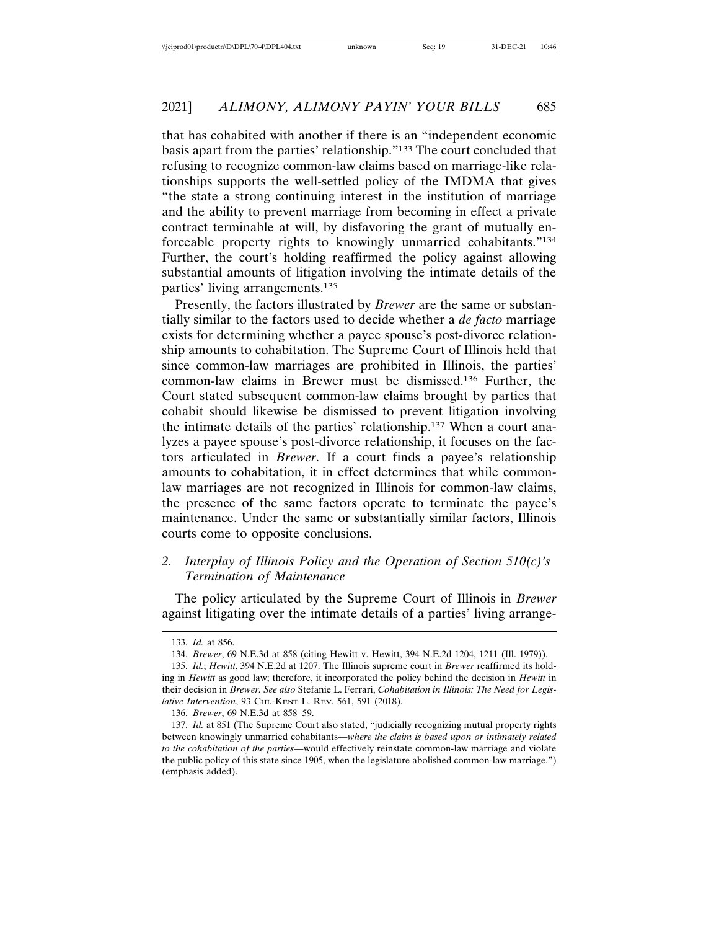that has cohabited with another if there is an "independent economic basis apart from the parties' relationship."133 The court concluded that refusing to recognize common-law claims based on marriage-like relationships supports the well-settled policy of the IMDMA that gives "the state a strong continuing interest in the institution of marriage and the ability to prevent marriage from becoming in effect a private contract terminable at will, by disfavoring the grant of mutually enforceable property rights to knowingly unmarried cohabitants."134 Further, the court's holding reaffirmed the policy against allowing substantial amounts of litigation involving the intimate details of the parties' living arrangements.135

Presently, the factors illustrated by *Brewer* are the same or substantially similar to the factors used to decide whether a *de facto* marriage exists for determining whether a payee spouse's post-divorce relationship amounts to cohabitation. The Supreme Court of Illinois held that since common-law marriages are prohibited in Illinois, the parties' common-law claims in Brewer must be dismissed.136 Further, the Court stated subsequent common-law claims brought by parties that cohabit should likewise be dismissed to prevent litigation involving the intimate details of the parties' relationship.137 When a court analyzes a payee spouse's post-divorce relationship, it focuses on the factors articulated in *Brewer*. If a court finds a payee's relationship amounts to cohabitation, it in effect determines that while commonlaw marriages are not recognized in Illinois for common-law claims, the presence of the same factors operate to terminate the payee's maintenance. Under the same or substantially similar factors, Illinois courts come to opposite conclusions.

## *2. Interplay of Illinois Policy and the Operation of Section 510(c)'s Termination of Maintenance*

The policy articulated by the Supreme Court of Illinois in *Brewer* against litigating over the intimate details of a parties' living arrange-

<sup>133.</sup> *Id.* at 856.

<sup>134.</sup> *Brewer*, 69 N.E.3d at 858 (citing Hewitt v. Hewitt, 394 N.E.2d 1204, 1211 (Ill. 1979)).

<sup>135.</sup> *Id.*; *Hewitt*, 394 N.E.2d at 1207. The Illinois supreme court in *Brewer* reaffirmed its holding in *Hewitt* as good law; therefore, it incorporated the policy behind the decision in *Hewitt* in their decision in *Brewer. See also* Stefanie L. Ferrari, *Cohabitation in Illinois: The Need for Legislative Intervention*, 93 CHI.-KENT L. REV. 561, 591 (2018).

<sup>136.</sup> *Brewer*, 69 N.E.3d at 858–59.

<sup>137.</sup> *Id.* at 851 (The Supreme Court also stated, "judicially recognizing mutual property rights between knowingly unmarried cohabitants—*where the claim is based upon or intimately related to the cohabitation of the parties*—would effectively reinstate common-law marriage and violate the public policy of this state since 1905, when the legislature abolished common-law marriage.") (emphasis added).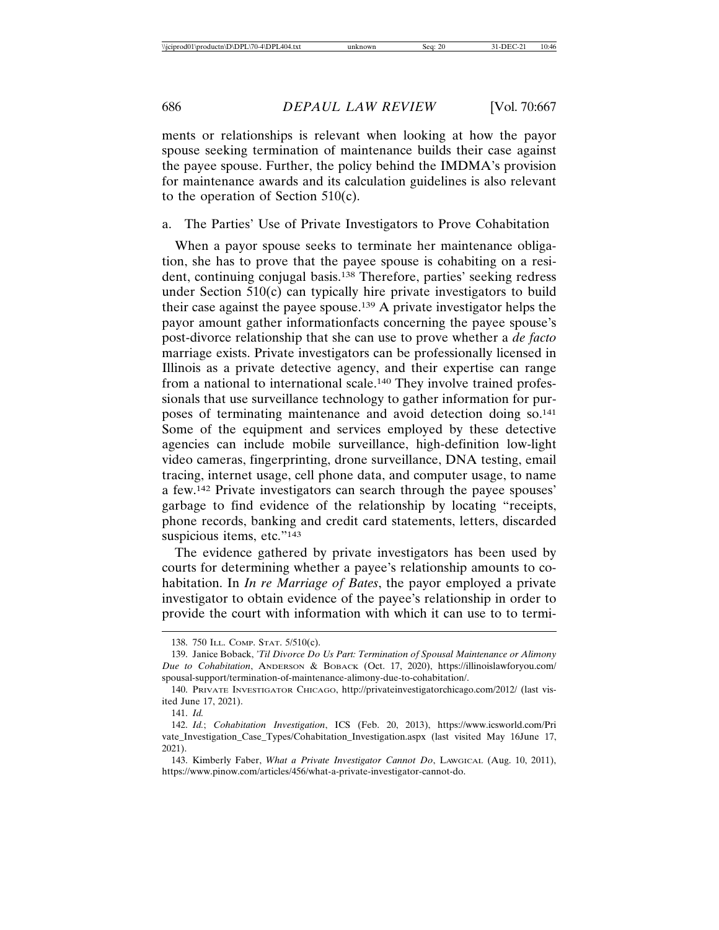ments or relationships is relevant when looking at how the payor spouse seeking termination of maintenance builds their case against the payee spouse. Further, the policy behind the IMDMA's provision for maintenance awards and its calculation guidelines is also relevant to the operation of Section 510(c).

#### a. The Parties' Use of Private Investigators to Prove Cohabitation

When a payor spouse seeks to terminate her maintenance obligation, she has to prove that the payee spouse is cohabiting on a resident, continuing conjugal basis.138 Therefore, parties' seeking redress under Section 510(c) can typically hire private investigators to build their case against the payee spouse.139 A private investigator helps the payor amount gather informationfacts concerning the payee spouse's post-divorce relationship that she can use to prove whether a *de facto* marriage exists. Private investigators can be professionally licensed in Illinois as a private detective agency, and their expertise can range from a national to international scale.140 They involve trained professionals that use surveillance technology to gather information for purposes of terminating maintenance and avoid detection doing so.141 Some of the equipment and services employed by these detective agencies can include mobile surveillance, high-definition low-light video cameras, fingerprinting, drone surveillance, DNA testing, email tracing, internet usage, cell phone data, and computer usage, to name a few.142 Private investigators can search through the payee spouses' garbage to find evidence of the relationship by locating "receipts, phone records, banking and credit card statements, letters, discarded suspicious items, etc."143

The evidence gathered by private investigators has been used by courts for determining whether a payee's relationship amounts to cohabitation. In *In re Marriage of Bates*, the payor employed a private investigator to obtain evidence of the payee's relationship in order to provide the court with information with which it can use to to termi-

141. *Id.*

<sup>138. 750</sup> ILL. COMP. STAT. 5/510(c).

<sup>139.</sup> Janice Boback, *'Til Divorce Do Us Part: Termination of Spousal Maintenance or Alimony Due to Cohabitation*, ANDERSON & BOBACK (Oct. 17, 2020), https://illinoislawforyou.com/ spousal-support/termination-of-maintenance-alimony-due-to-cohabitation/.

<sup>140.</sup> PRIVATE INVESTIGATOR CHICAGO, http://privateinvestigatorchicago.com/2012/ (last visited June 17, 2021).

<sup>142.</sup> *Id.*; *Cohabitation Investigation*, ICS (Feb. 20, 2013), https://www.icsworld.com/Pri vate\_Investigation\_Case\_Types/Cohabitation\_Investigation.aspx (last visited May 16June 17, 2021).

<sup>143.</sup> Kimberly Faber, *What a Private Investigator Cannot Do*, LAWGICAL (Aug. 10, 2011), https://www.pinow.com/articles/456/what-a-private-investigator-cannot-do.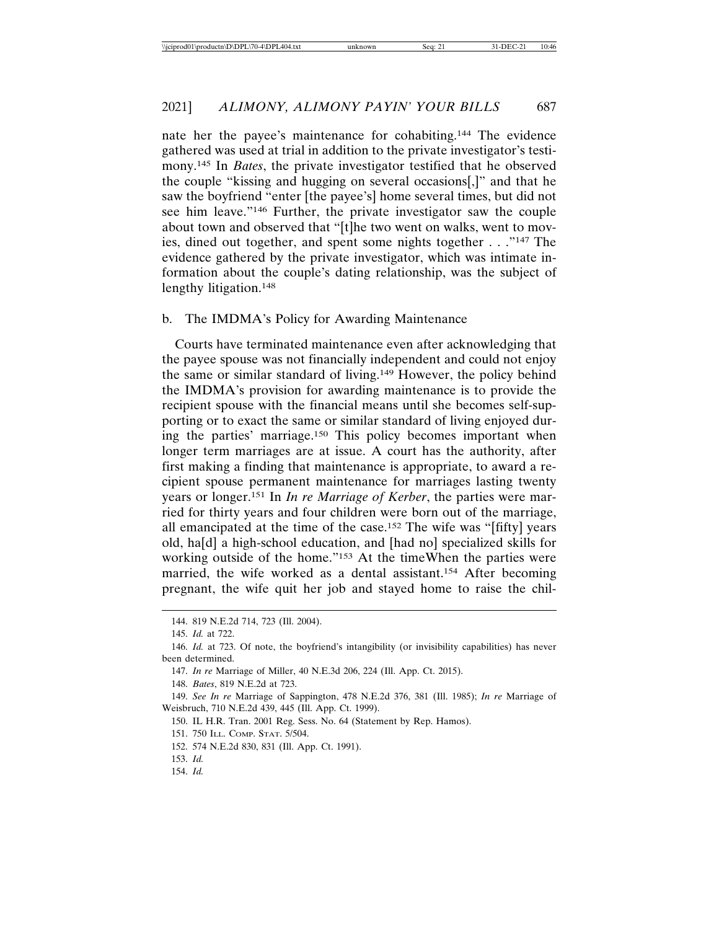nate her the payee's maintenance for cohabiting.144 The evidence gathered was used at trial in addition to the private investigator's testimony.145 In *Bates*, the private investigator testified that he observed the couple "kissing and hugging on several occasions[,]" and that he saw the boyfriend "enter [the payee's] home several times, but did not see him leave."146 Further, the private investigator saw the couple about town and observed that "[t]he two went on walks, went to movies, dined out together, and spent some nights together . . ."147 The evidence gathered by the private investigator, which was intimate information about the couple's dating relationship, was the subject of lengthy litigation.<sup>148</sup>

#### b. The IMDMA's Policy for Awarding Maintenance

Courts have terminated maintenance even after acknowledging that the payee spouse was not financially independent and could not enjoy the same or similar standard of living.149 However, the policy behind the IMDMA's provision for awarding maintenance is to provide the recipient spouse with the financial means until she becomes self-supporting or to exact the same or similar standard of living enjoyed during the parties' marriage.150 This policy becomes important when longer term marriages are at issue. A court has the authority, after first making a finding that maintenance is appropriate, to award a recipient spouse permanent maintenance for marriages lasting twenty years or longer.151 In *In re Marriage of Kerber*, the parties were married for thirty years and four children were born out of the marriage, all emancipated at the time of the case.152 The wife was "[fifty] years old, ha[d] a high-school education, and [had no] specialized skills for working outside of the home."153 At the timeWhen the parties were married, the wife worked as a dental assistant.154 After becoming pregnant, the wife quit her job and stayed home to raise the chil-

148. *Bates*, 819 N.E.2d at 723.

149. *See In re* Marriage of Sappington, 478 N.E.2d 376, 381 (Ill. 1985); *In re* Marriage of Weisbruch, 710 N.E.2d 439, 445 (Ill. App. Ct. 1999).

<sup>144. 819</sup> N.E.2d 714, 723 (Ill. 2004).

<sup>145.</sup> *Id.* at 722.

<sup>146.</sup> *Id.* at 723. Of note, the boyfriend's intangibility (or invisibility capabilities) has never been determined.

<sup>147.</sup> *In re* Marriage of Miller, 40 N.E.3d 206, 224 (Ill. App. Ct. 2015).

<sup>150.</sup> IL H.R. Tran. 2001 Reg. Sess. No. 64 (Statement by Rep. Hamos).

<sup>151. 750</sup> ILL. COMP. STAT. 5/504.

<sup>152. 574</sup> N.E.2d 830, 831 (Ill. App. Ct. 1991).

<sup>153.</sup> *Id.*

<sup>154.</sup> *Id.*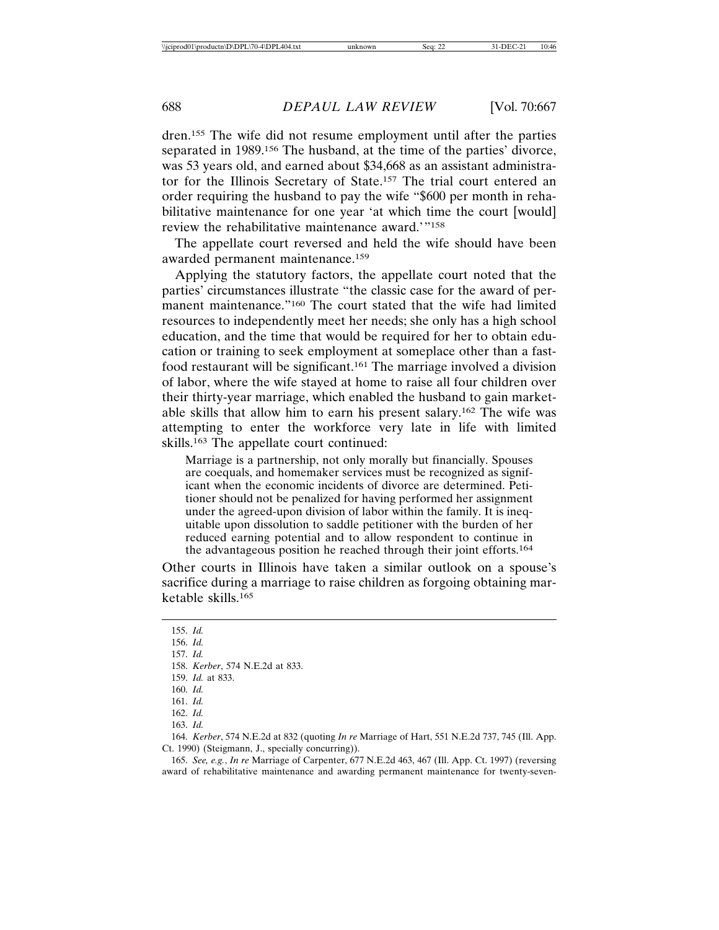dren.155 The wife did not resume employment until after the parties separated in 1989.156 The husband, at the time of the parties' divorce, was 53 years old, and earned about \$34,668 as an assistant administrator for the Illinois Secretary of State.157 The trial court entered an order requiring the husband to pay the wife "\$600 per month in rehabilitative maintenance for one year 'at which time the court [would] review the rehabilitative maintenance award.'"158

The appellate court reversed and held the wife should have been awarded permanent maintenance.159

Applying the statutory factors, the appellate court noted that the parties' circumstances illustrate "the classic case for the award of permanent maintenance."160 The court stated that the wife had limited resources to independently meet her needs; she only has a high school education, and the time that would be required for her to obtain education or training to seek employment at someplace other than a fastfood restaurant will be significant.161 The marriage involved a division of labor, where the wife stayed at home to raise all four children over their thirty-year marriage, which enabled the husband to gain marketable skills that allow him to earn his present salary.162 The wife was attempting to enter the workforce very late in life with limited skills.163 The appellate court continued:

Marriage is a partnership, not only morally but financially. Spouses are coequals, and homemaker services must be recognized as significant when the economic incidents of divorce are determined. Petitioner should not be penalized for having performed her assignment under the agreed-upon division of labor within the family. It is inequitable upon dissolution to saddle petitioner with the burden of her reduced earning potential and to allow respondent to continue in the advantageous position he reached through their joint efforts.164

Other courts in Illinois have taken a similar outlook on a spouse's sacrifice during a marriage to raise children as forgoing obtaining marketable skills.165

155. *Id.* 156. *Id.* 157. *Id.* 158. *Kerber*, 574 N.E.2d at 833. 159. *Id.* at 833. 160. *Id.* 161. *Id.* 162. *Id.* 163. *Id.*

164. *Kerber*, 574 N.E.2d at 832 (quoting *In re* Marriage of Hart, 551 N.E.2d 737, 745 (Ill. App. Ct. 1990) (Steigmann, J., specially concurring)).

165. *See, e.g.*, *In re* Marriage of Carpenter, 677 N.E.2d 463, 467 (Ill. App. Ct. 1997) (reversing award of rehabilitative maintenance and awarding permanent maintenance for twenty-seven-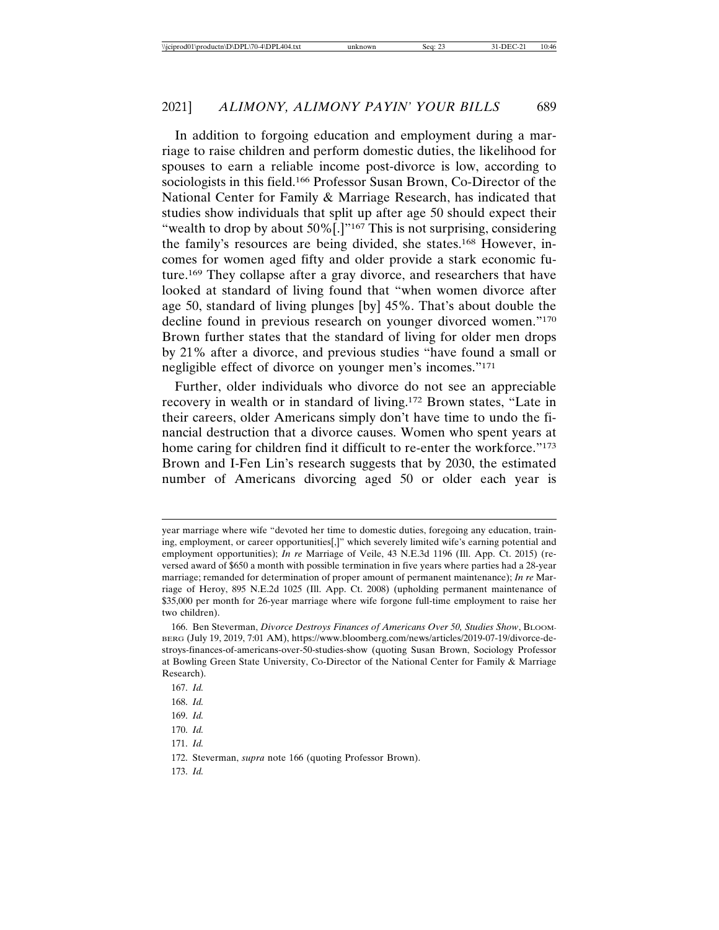In addition to forgoing education and employment during a marriage to raise children and perform domestic duties, the likelihood for spouses to earn a reliable income post-divorce is low, according to sociologists in this field.166 Professor Susan Brown, Co-Director of the National Center for Family & Marriage Research, has indicated that studies show individuals that split up after age 50 should expect their "wealth to drop by about 50%[.]"<sup>167</sup> This is not surprising, considering the family's resources are being divided, she states.168 However, incomes for women aged fifty and older provide a stark economic future.169 They collapse after a gray divorce, and researchers that have looked at standard of living found that "when women divorce after age 50, standard of living plunges [by] 45%. That's about double the decline found in previous research on younger divorced women."170 Brown further states that the standard of living for older men drops by 21% after a divorce, and previous studies "have found a small or negligible effect of divorce on younger men's incomes."171

Further, older individuals who divorce do not see an appreciable recovery in wealth or in standard of living.172 Brown states, "Late in their careers, older Americans simply don't have time to undo the financial destruction that a divorce causes. Women who spent years at home caring for children find it difficult to re-enter the workforce."<sup>173</sup> Brown and I-Fen Lin's research suggests that by 2030, the estimated number of Americans divorcing aged 50 or older each year is

173. *Id.*

year marriage where wife "devoted her time to domestic duties, foregoing any education, training, employment, or career opportunities[,]" which severely limited wife's earning potential and employment opportunities); *In re* Marriage of Veile, 43 N.E.3d 1196 (Ill. App. Ct. 2015) (reversed award of \$650 a month with possible termination in five years where parties had a 28-year marriage; remanded for determination of proper amount of permanent maintenance); *In re* Marriage of Heroy, 895 N.E.2d 1025 (Ill. App. Ct. 2008) (upholding permanent maintenance of \$35,000 per month for 26-year marriage where wife forgone full-time employment to raise her two children).

<sup>166.</sup> Ben Steverman, *Divorce Destroys Finances of Americans Over 50, Studies Show*, BLOOM-BERG (July 19, 2019, 7:01 AM), https://www.bloomberg.com/news/articles/2019-07-19/divorce-destroys-finances-of-americans-over-50-studies-show (quoting Susan Brown, Sociology Professor at Bowling Green State University, Co-Director of the National Center for Family & Marriage Research).

<sup>167.</sup> *Id.*

<sup>168.</sup> *Id.*

<sup>169.</sup> *Id.*

<sup>170.</sup> *Id.*

<sup>171.</sup> *Id.*

<sup>172.</sup> Steverman, *supra* note 166 (quoting Professor Brown).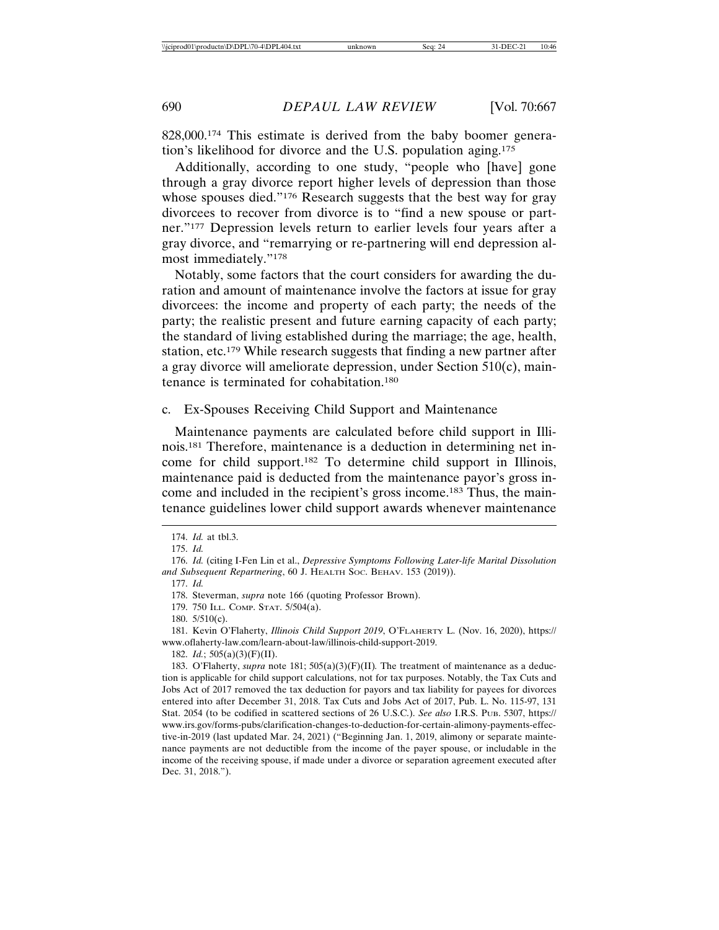828,000.174 This estimate is derived from the baby boomer generation's likelihood for divorce and the U.S. population aging.175

Additionally, according to one study, "people who [have] gone through a gray divorce report higher levels of depression than those whose spouses died."<sup>176</sup> Research suggests that the best way for gray divorcees to recover from divorce is to "find a new spouse or partner."177 Depression levels return to earlier levels four years after a gray divorce, and "remarrying or re-partnering will end depression almost immediately."178

Notably, some factors that the court considers for awarding the duration and amount of maintenance involve the factors at issue for gray divorcees: the income and property of each party; the needs of the party; the realistic present and future earning capacity of each party; the standard of living established during the marriage; the age, health, station, etc.179 While research suggests that finding a new partner after a gray divorce will ameliorate depression, under Section 510(c), maintenance is terminated for cohabitation.180

#### c. Ex-Spouses Receiving Child Support and Maintenance

Maintenance payments are calculated before child support in Illinois.181 Therefore, maintenance is a deduction in determining net income for child support.182 To determine child support in Illinois, maintenance paid is deducted from the maintenance payor's gross income and included in the recipient's gross income.183 Thus, the maintenance guidelines lower child support awards whenever maintenance

182. *Id.*; 505(a)(3)(F)(II).

183. O'Flaherty, *supra* note 181; 505(a)(3)(F)(II)*.* The treatment of maintenance as a deduction is applicable for child support calculations, not for tax purposes. Notably, the Tax Cuts and Jobs Act of 2017 removed the tax deduction for payors and tax liability for payees for divorces entered into after December 31, 2018. Tax Cuts and Jobs Act of 2017, Pub. L. No. 115-97, 131 Stat. 2054 (to be codified in scattered sections of 26 U.S.C.). *See also* I.R.S. PUB. 5307, https:// www.irs.gov/forms-pubs/clarification-changes-to-deduction-for-certain-alimony-payments-effective-in-2019 (last updated Mar. 24, 2021) ("Beginning Jan. 1, 2019, alimony or separate maintenance payments are not deductible from the income of the payer spouse, or includable in the income of the receiving spouse, if made under a divorce or separation agreement executed after Dec. 31, 2018.").

<sup>174.</sup> *Id.* at tbl.3.

<sup>175.</sup> *Id.*

<sup>176.</sup> *Id.* (citing I-Fen Lin et al., *Depressive Symptoms Following Later-life Marital Dissolution and Subsequent Repartnering*, 60 J. HEALTH SOC. BEHAV. 153 (2019)).

<sup>177.</sup> *Id.*

<sup>178.</sup> Steverman, *supra* note 166 (quoting Professor Brown).

<sup>179. 750</sup> ILL. COMP. STAT. 5/504(a).

<sup>180. 5/510(</sup>c).

<sup>181.</sup> Kevin O'Flaherty, *Illinois Child Support 2019*, O'FLAHERTY L. (Nov. 16, 2020), https:// www.oflaherty-law.com/learn-about-law/illinois-child-support-2019.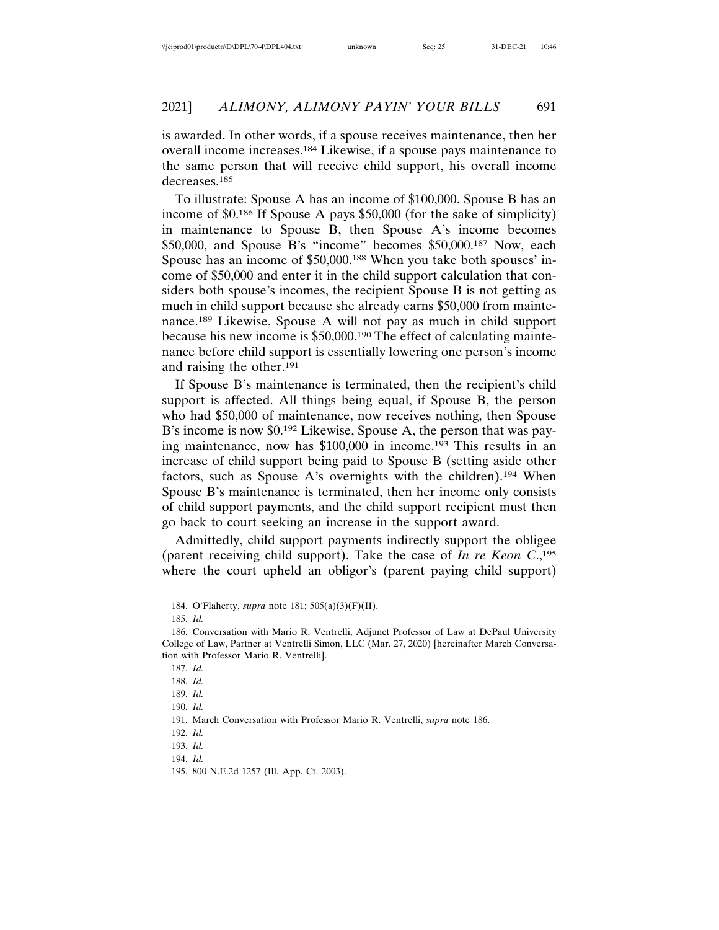is awarded. In other words, if a spouse receives maintenance, then her overall income increases.184 Likewise, if a spouse pays maintenance to the same person that will receive child support, his overall income decreases.185

To illustrate: Spouse A has an income of \$100,000. Spouse B has an income of \$0.186 If Spouse A pays \$50,000 (for the sake of simplicity) in maintenance to Spouse B, then Spouse A's income becomes \$50,000, and Spouse B's "income" becomes \$50,000.187 Now, each Spouse has an income of \$50,000.188 When you take both spouses' income of \$50,000 and enter it in the child support calculation that considers both spouse's incomes, the recipient Spouse B is not getting as much in child support because she already earns \$50,000 from maintenance.189 Likewise, Spouse A will not pay as much in child support because his new income is \$50,000.190 The effect of calculating maintenance before child support is essentially lowering one person's income and raising the other.191

If Spouse B's maintenance is terminated, then the recipient's child support is affected. All things being equal, if Spouse B, the person who had \$50,000 of maintenance, now receives nothing, then Spouse B's income is now \$0.192 Likewise, Spouse A, the person that was paying maintenance, now has \$100,000 in income.193 This results in an increase of child support being paid to Spouse B (setting aside other factors, such as Spouse A's overnights with the children).194 When Spouse B's maintenance is terminated, then her income only consists of child support payments, and the child support recipient must then go back to court seeking an increase in the support award.

Admittedly, child support payments indirectly support the obligee (parent receiving child support). Take the case of *In re Keon C*.,195 where the court upheld an obligor's (parent paying child support)

<sup>184.</sup> O'Flaherty, *supra* note 181; 505(a)(3)(F)(II).

<sup>185.</sup> *Id.*

<sup>186.</sup> Conversation with Mario R. Ventrelli, Adjunct Professor of Law at DePaul University College of Law, Partner at Ventrelli Simon, LLC (Mar. 27, 2020) [hereinafter March Conversation with Professor Mario R. Ventrelli].

<sup>187.</sup> *Id.*

<sup>188.</sup> *Id.*

<sup>189.</sup> *Id.*

<sup>190.</sup> *Id.*

<sup>191.</sup> March Conversation with Professor Mario R. Ventrelli, *supra* note 186.

<sup>192.</sup> *Id.*

<sup>193.</sup> *Id.*

<sup>194.</sup> *Id.*

<sup>195. 800</sup> N.E.2d 1257 (Ill. App. Ct. 2003).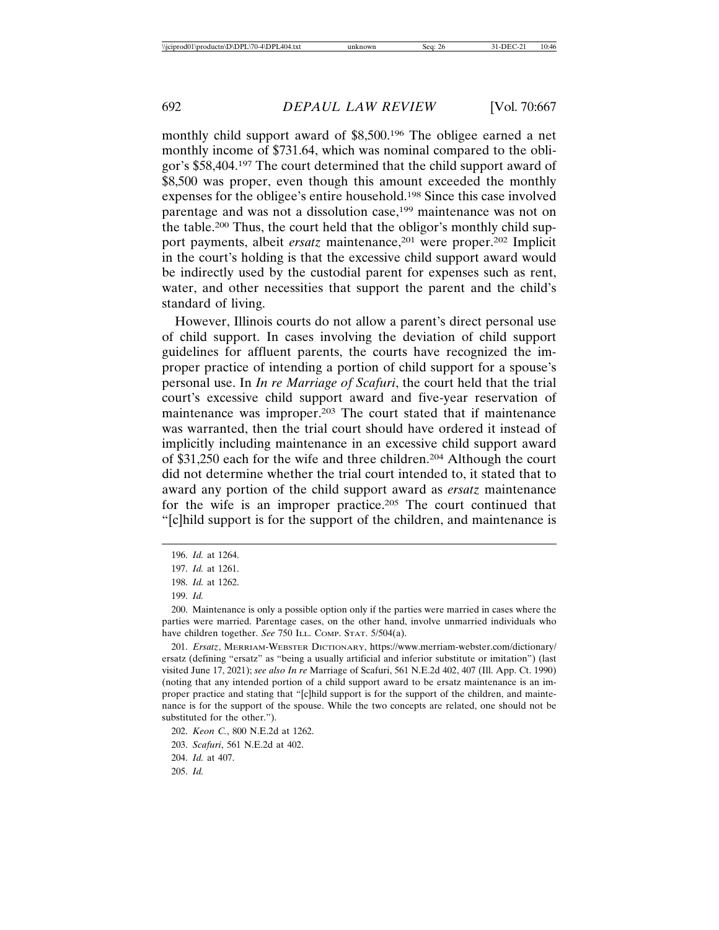monthly child support award of \$8,500.196 The obligee earned a net monthly income of \$731.64, which was nominal compared to the obligor's \$58,404.197 The court determined that the child support award of \$8,500 was proper, even though this amount exceeded the monthly expenses for the obligee's entire household.198 Since this case involved parentage and was not a dissolution case,<sup>199</sup> maintenance was not on the table.200 Thus, the court held that the obligor's monthly child support payments, albeit *ersatz* maintenance,<sup>201</sup> were proper.<sup>202</sup> Implicit in the court's holding is that the excessive child support award would be indirectly used by the custodial parent for expenses such as rent, water, and other necessities that support the parent and the child's standard of living.

However, Illinois courts do not allow a parent's direct personal use of child support. In cases involving the deviation of child support guidelines for affluent parents, the courts have recognized the improper practice of intending a portion of child support for a spouse's personal use. In *In re Marriage of Scafuri*, the court held that the trial court's excessive child support award and five-year reservation of maintenance was improper.203 The court stated that if maintenance was warranted, then the trial court should have ordered it instead of implicitly including maintenance in an excessive child support award of \$31,250 each for the wife and three children.204 Although the court did not determine whether the trial court intended to, it stated that to award any portion of the child support award as *ersatz* maintenance for the wife is an improper practice.205 The court continued that "[c]hild support is for the support of the children, and maintenance is

<sup>196.</sup> *Id.* at 1264.

<sup>197.</sup> *Id.* at 1261.

<sup>198.</sup> *Id.* at 1262.

<sup>199.</sup> *Id.*

<sup>200.</sup> Maintenance is only a possible option only if the parties were married in cases where the parties were married. Parentage cases, on the other hand, involve unmarried individuals who have children together. *See* 750 ILL. COMP. STAT. 5/504(a).

<sup>201.</sup> *Ersatz*, MERRIAM-WEBSTER DICTIONARY, https://www.merriam-webster.com/dictionary/ ersatz (defining "ersatz" as "being a usually artificial and inferior substitute or imitation") (last visited June 17, 2021); *see also In re* Marriage of Scafuri, 561 N.E.2d 402, 407 (Ill. App. Ct. 1990) (noting that any intended portion of a child support award to be ersatz maintenance is an improper practice and stating that "[c]hild support is for the support of the children, and maintenance is for the support of the spouse. While the two concepts are related, one should not be substituted for the other.").

<sup>202.</sup> *Keon C.*, 800 N.E.2d at 1262.

<sup>203.</sup> *Scafuri*, 561 N.E.2d at 402.

<sup>204.</sup> *Id.* at 407.

<sup>205.</sup> *Id.*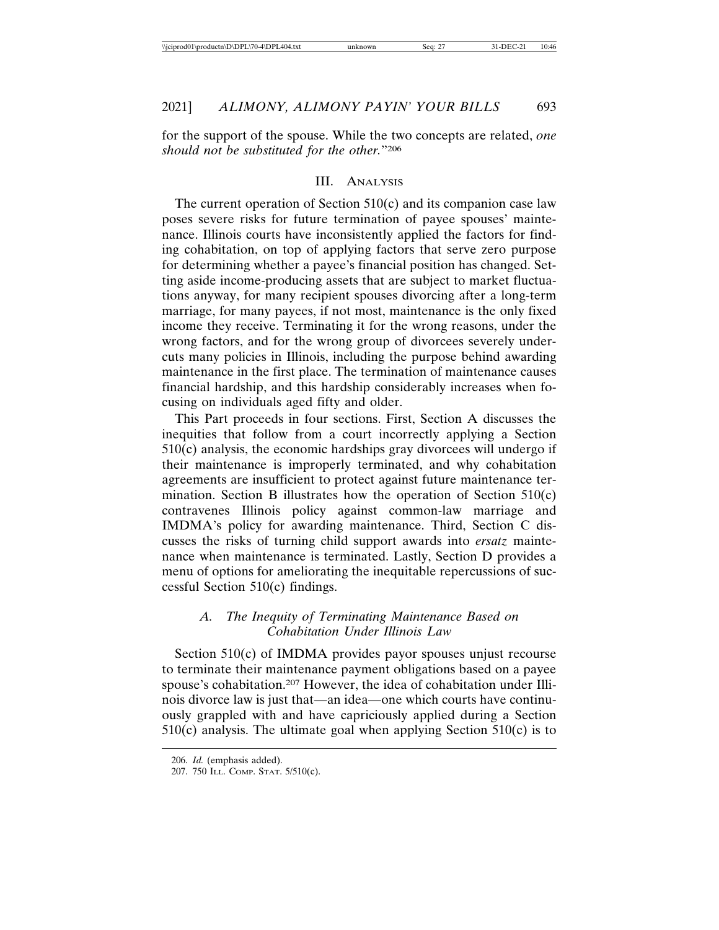for the support of the spouse. While the two concepts are related, *one should not be substituted for the other.*"206

#### III. ANALYSIS

The current operation of Section 510(c) and its companion case law poses severe risks for future termination of payee spouses' maintenance. Illinois courts have inconsistently applied the factors for finding cohabitation, on top of applying factors that serve zero purpose for determining whether a payee's financial position has changed. Setting aside income-producing assets that are subject to market fluctuations anyway, for many recipient spouses divorcing after a long-term marriage, for many payees, if not most, maintenance is the only fixed income they receive. Terminating it for the wrong reasons, under the wrong factors, and for the wrong group of divorcees severely undercuts many policies in Illinois, including the purpose behind awarding maintenance in the first place. The termination of maintenance causes financial hardship, and this hardship considerably increases when focusing on individuals aged fifty and older.

This Part proceeds in four sections. First, Section A discusses the inequities that follow from a court incorrectly applying a Section  $510(c)$  analysis, the economic hardships gray divorcees will undergo if their maintenance is improperly terminated, and why cohabitation agreements are insufficient to protect against future maintenance termination. Section B illustrates how the operation of Section 510(c) contravenes Illinois policy against common-law marriage and IMDMA's policy for awarding maintenance. Third, Section C discusses the risks of turning child support awards into *ersatz* maintenance when maintenance is terminated. Lastly, Section D provides a menu of options for ameliorating the inequitable repercussions of successful Section 510(c) findings.

## *A. The Inequity of Terminating Maintenance Based on Cohabitation Under Illinois Law*

Section 510(c) of IMDMA provides payor spouses unjust recourse to terminate their maintenance payment obligations based on a payee spouse's cohabitation.207 However, the idea of cohabitation under Illinois divorce law is just that—an idea—one which courts have continuously grappled with and have capriciously applied during a Section  $510(c)$  analysis. The ultimate goal when applying Section  $510(c)$  is to

<sup>206.</sup> *Id.* (emphasis added).

<sup>207. 750</sup> ILL. COMP. STAT. 5/510(c).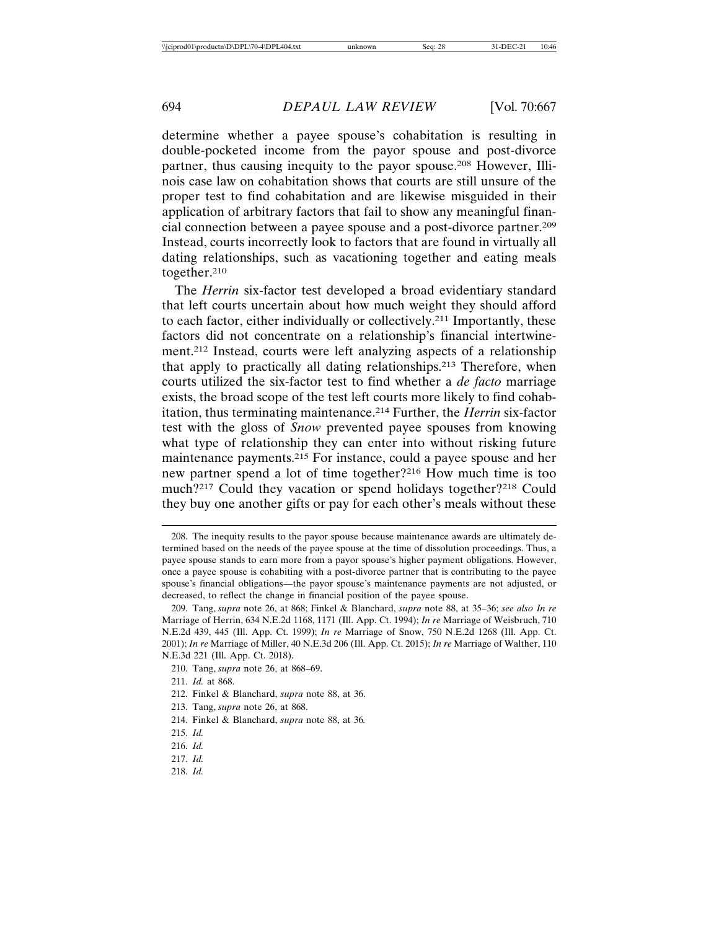determine whether a payee spouse's cohabitation is resulting in double-pocketed income from the payor spouse and post-divorce partner, thus causing inequity to the payor spouse.208 However, Illinois case law on cohabitation shows that courts are still unsure of the proper test to find cohabitation and are likewise misguided in their application of arbitrary factors that fail to show any meaningful financial connection between a payee spouse and a post-divorce partner.209 Instead, courts incorrectly look to factors that are found in virtually all dating relationships, such as vacationing together and eating meals together.210

The *Herrin* six-factor test developed a broad evidentiary standard that left courts uncertain about how much weight they should afford to each factor, either individually or collectively.211 Importantly, these factors did not concentrate on a relationship's financial intertwinement.212 Instead, courts were left analyzing aspects of a relationship that apply to practically all dating relationships.213 Therefore, when courts utilized the six-factor test to find whether a *de facto* marriage exists, the broad scope of the test left courts more likely to find cohabitation, thus terminating maintenance.214 Further, the *Herrin* six-factor test with the gloss of *Snow* prevented payee spouses from knowing what type of relationship they can enter into without risking future maintenance payments.215 For instance, could a payee spouse and her new partner spend a lot of time together?216 How much time is too much?217 Could they vacation or spend holidays together?218 Could they buy one another gifts or pay for each other's meals without these

218. *Id.*

<sup>208.</sup> The inequity results to the payor spouse because maintenance awards are ultimately determined based on the needs of the payee spouse at the time of dissolution proceedings. Thus, a payee spouse stands to earn more from a payor spouse's higher payment obligations. However, once a payee spouse is cohabiting with a post-divorce partner that is contributing to the payee spouse's financial obligations—the payor spouse's maintenance payments are not adjusted, or decreased, to reflect the change in financial position of the payee spouse.

<sup>209.</sup> Tang, *supra* note 26, at 868; Finkel & Blanchard, *supra* note 88, at 35–36; *see also In re* Marriage of Herrin, 634 N.E.2d 1168, 1171 (Ill. App. Ct. 1994); *In re* Marriage of Weisbruch, 710 N.E.2d 439, 445 (Ill. App. Ct. 1999); *In re* Marriage of Snow, 750 N.E.2d 1268 (Ill. App. Ct. 2001); *In re* Marriage of Miller, 40 N.E.3d 206 (Ill. App. Ct. 2015); *In re* Marriage of Walther, 110 N.E.3d 221 (Ill. App. Ct. 2018).

<sup>210.</sup> Tang, *supra* note 26, at 868–69.

<sup>211.</sup> *Id.* at 868.

<sup>212.</sup> Finkel & Blanchard, *supra* note 88, at 36.

<sup>213.</sup> Tang, *supra* note 26, at 868.

<sup>214.</sup> Finkel & Blanchard, *supra* note 88, at 36*.*

<sup>215.</sup> *Id.*

<sup>216.</sup> *Id.*

<sup>217.</sup> *Id.*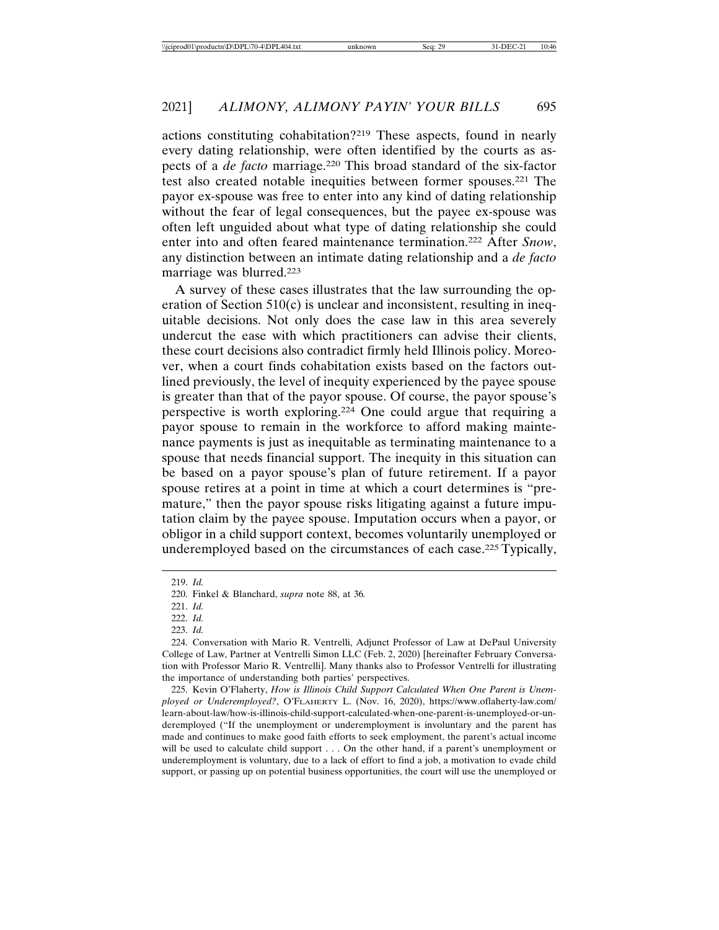actions constituting cohabitation?219 These aspects, found in nearly every dating relationship, were often identified by the courts as aspects of a *de facto* marriage.220 This broad standard of the six-factor test also created notable inequities between former spouses.221 The payor ex-spouse was free to enter into any kind of dating relationship without the fear of legal consequences, but the payee ex-spouse was often left unguided about what type of dating relationship she could enter into and often feared maintenance termination.222 After *Snow*, any distinction between an intimate dating relationship and a *de facto* marriage was blurred.223

A survey of these cases illustrates that the law surrounding the operation of Section 510(c) is unclear and inconsistent, resulting in inequitable decisions. Not only does the case law in this area severely undercut the ease with which practitioners can advise their clients, these court decisions also contradict firmly held Illinois policy. Moreover, when a court finds cohabitation exists based on the factors outlined previously, the level of inequity experienced by the payee spouse is greater than that of the payor spouse. Of course, the payor spouse's perspective is worth exploring.224 One could argue that requiring a payor spouse to remain in the workforce to afford making maintenance payments is just as inequitable as terminating maintenance to a spouse that needs financial support. The inequity in this situation can be based on a payor spouse's plan of future retirement. If a payor spouse retires at a point in time at which a court determines is "premature," then the payor spouse risks litigating against a future imputation claim by the payee spouse. Imputation occurs when a payor, or obligor in a child support context, becomes voluntarily unemployed or underemployed based on the circumstances of each case.225 Typically,

<sup>219.</sup> *Id.*

<sup>220.</sup> Finkel & Blanchard, *supra* note 88, at 36*.*

<sup>221.</sup> *Id.*

<sup>222.</sup> *Id.*

<sup>223.</sup> *Id.*

<sup>224.</sup> Conversation with Mario R. Ventrelli, Adjunct Professor of Law at DePaul University College of Law, Partner at Ventrelli Simon LLC (Feb. 2, 2020) [hereinafter February Conversation with Professor Mario R. Ventrelli]. Many thanks also to Professor Ventrelli for illustrating the importance of understanding both parties' perspectives.

<sup>225.</sup> Kevin O'Flaherty, *How is Illinois Child Support Calculated When One Parent is Unemployed or Underemployed?*, O'FLAHERTY L. (Nov. 16, 2020), https://www.oflaherty-law.com/ learn-about-law/how-is-illinois-child-support-calculated-when-one-parent-is-unemployed-or-underemployed ("If the unemployment or underemployment is involuntary and the parent has made and continues to make good faith efforts to seek employment, the parent's actual income will be used to calculate child support . . . On the other hand, if a parent's unemployment or underemployment is voluntary, due to a lack of effort to find a job, a motivation to evade child support, or passing up on potential business opportunities, the court will use the unemployed or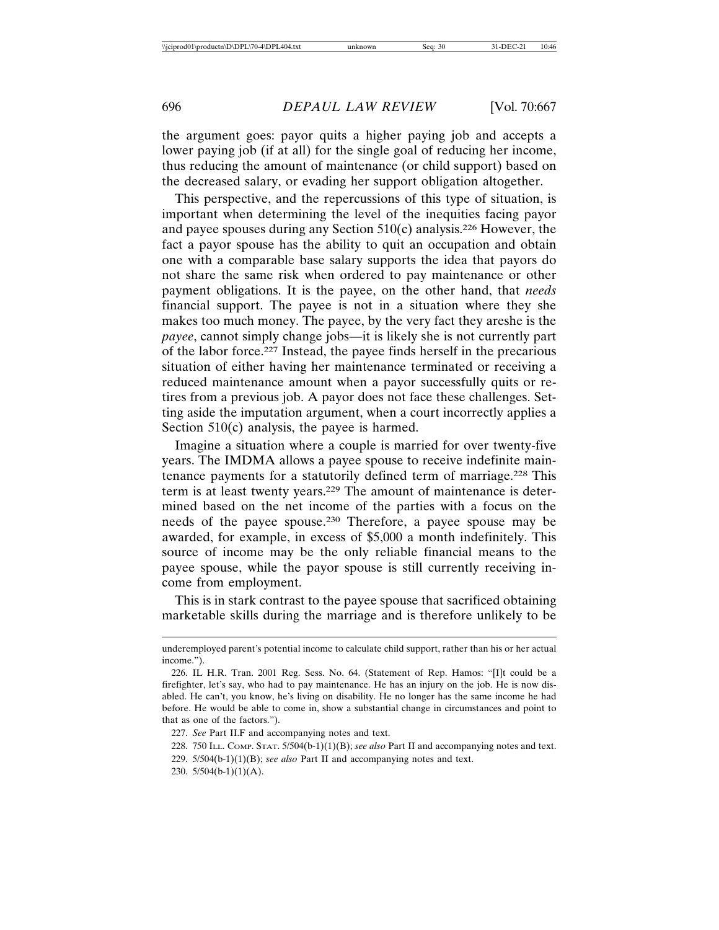the argument goes: payor quits a higher paying job and accepts a lower paying job (if at all) for the single goal of reducing her income, thus reducing the amount of maintenance (or child support) based on the decreased salary, or evading her support obligation altogether.

This perspective, and the repercussions of this type of situation, is important when determining the level of the inequities facing payor and payee spouses during any Section  $510(c)$  analysis.<sup>226</sup> However, the fact a payor spouse has the ability to quit an occupation and obtain one with a comparable base salary supports the idea that payors do not share the same risk when ordered to pay maintenance or other payment obligations. It is the payee, on the other hand, that *needs* financial support. The payee is not in a situation where they she makes too much money. The payee, by the very fact they areshe is the *payee*, cannot simply change jobs—it is likely she is not currently part of the labor force.227 Instead, the payee finds herself in the precarious situation of either having her maintenance terminated or receiving a reduced maintenance amount when a payor successfully quits or retires from a previous job. A payor does not face these challenges. Setting aside the imputation argument, when a court incorrectly applies a Section 510(c) analysis, the payee is harmed.

Imagine a situation where a couple is married for over twenty-five years. The IMDMA allows a payee spouse to receive indefinite maintenance payments for a statutorily defined term of marriage.228 This term is at least twenty years.229 The amount of maintenance is determined based on the net income of the parties with a focus on the needs of the payee spouse.230 Therefore, a payee spouse may be awarded, for example, in excess of \$5,000 a month indefinitely. This source of income may be the only reliable financial means to the payee spouse, while the payor spouse is still currently receiving income from employment.

This is in stark contrast to the payee spouse that sacrificed obtaining marketable skills during the marriage and is therefore unlikely to be

- 228. 750 ILL. COMP. STAT. 5/504(b-1)(1)(B); *see also* Part II and accompanying notes and text.
- 229. 5/504(b-1)(1)(B); *see also* Part II and accompanying notes and text.
- 230. 5/504(b-1)(1)(A).

underemployed parent's potential income to calculate child support, rather than his or her actual income.").

<sup>226.</sup> IL H.R. Tran. 2001 Reg. Sess. No. 64. (Statement of Rep. Hamos: "[I]t could be a firefighter, let's say, who had to pay maintenance. He has an injury on the job. He is now disabled. He can't, you know, he's living on disability. He no longer has the same income he had before. He would be able to come in, show a substantial change in circumstances and point to that as one of the factors.").

<sup>227.</sup> *See* Part II.F and accompanying notes and text.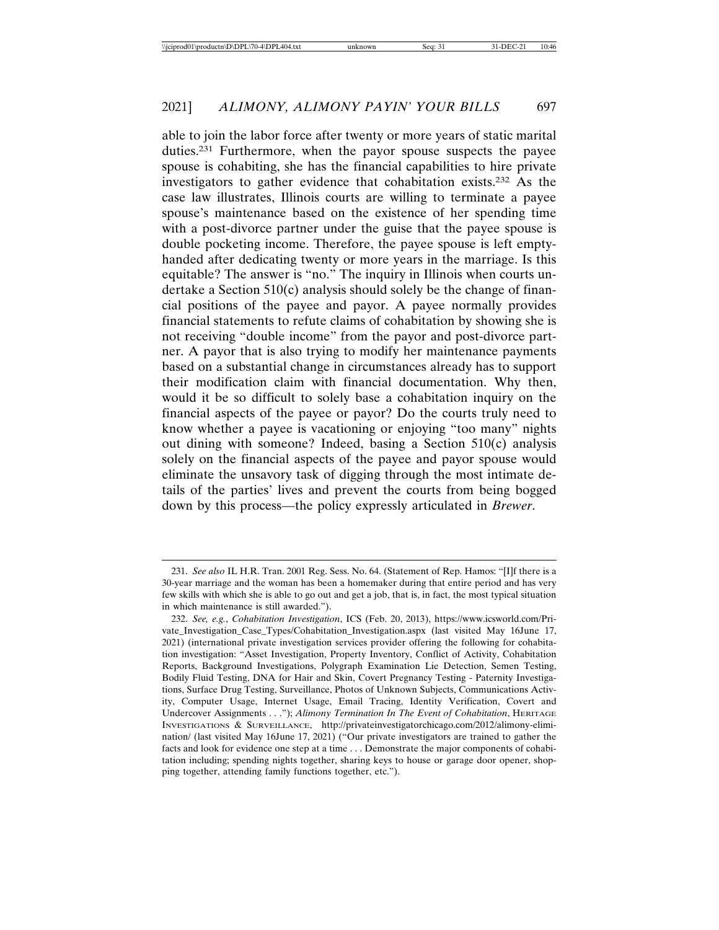able to join the labor force after twenty or more years of static marital duties.231 Furthermore, when the payor spouse suspects the payee spouse is cohabiting, she has the financial capabilities to hire private investigators to gather evidence that cohabitation exists.232 As the case law illustrates, Illinois courts are willing to terminate a payee spouse's maintenance based on the existence of her spending time with a post-divorce partner under the guise that the payee spouse is double pocketing income. Therefore, the payee spouse is left emptyhanded after dedicating twenty or more years in the marriage. Is this equitable? The answer is "no." The inquiry in Illinois when courts undertake a Section 510(c) analysis should solely be the change of financial positions of the payee and payor. A payee normally provides financial statements to refute claims of cohabitation by showing she is not receiving "double income" from the payor and post-divorce partner. A payor that is also trying to modify her maintenance payments based on a substantial change in circumstances already has to support their modification claim with financial documentation. Why then, would it be so difficult to solely base a cohabitation inquiry on the financial aspects of the payee or payor? Do the courts truly need to know whether a payee is vacationing or enjoying "too many" nights out dining with someone? Indeed, basing a Section 510(c) analysis solely on the financial aspects of the payee and payor spouse would eliminate the unsavory task of digging through the most intimate details of the parties' lives and prevent the courts from being bogged down by this process—the policy expressly articulated in *Brewer*.

<sup>231.</sup> *See also* IL H.R. Tran. 2001 Reg. Sess. No. 64. (Statement of Rep. Hamos: "[I]f there is a 30-year marriage and the woman has been a homemaker during that entire period and has very few skills with which she is able to go out and get a job, that is, in fact, the most typical situation in which maintenance is still awarded.").

<sup>232.</sup> *See, e.g.*, *Cohabitation Investigation*, ICS (Feb. 20, 2013), https://www.icsworld.com/Private\_Investigation\_Case\_Types/Cohabitation\_Investigation.aspx (last visited May 16June 17, 2021) (international private investigation services provider offering the following for cohabitation investigation: "Asset Investigation, Property Inventory, Conflict of Activity, Cohabitation Reports, Background Investigations, Polygraph Examination Lie Detection, Semen Testing, Bodily Fluid Testing, DNA for Hair and Skin, Covert Pregnancy Testing - Paternity Investigations, Surface Drug Testing, Surveillance, Photos of Unknown Subjects, Communications Activity, Computer Usage, Internet Usage, Email Tracing, Identity Verification, Covert and Undercover Assignments . . ."); *Alimony Termination In The Event of Cohabitation*, HERITAGE INVESTIGATIONS & SURVEILLANCE, http://privateinvestigatorchicago.com/2012/alimony-elimination/ (last visited May 16June 17, 2021) ("Our private investigators are trained to gather the facts and look for evidence one step at a time . . . Demonstrate the major components of cohabitation including; spending nights together, sharing keys to house or garage door opener, shopping together, attending family functions together, etc.").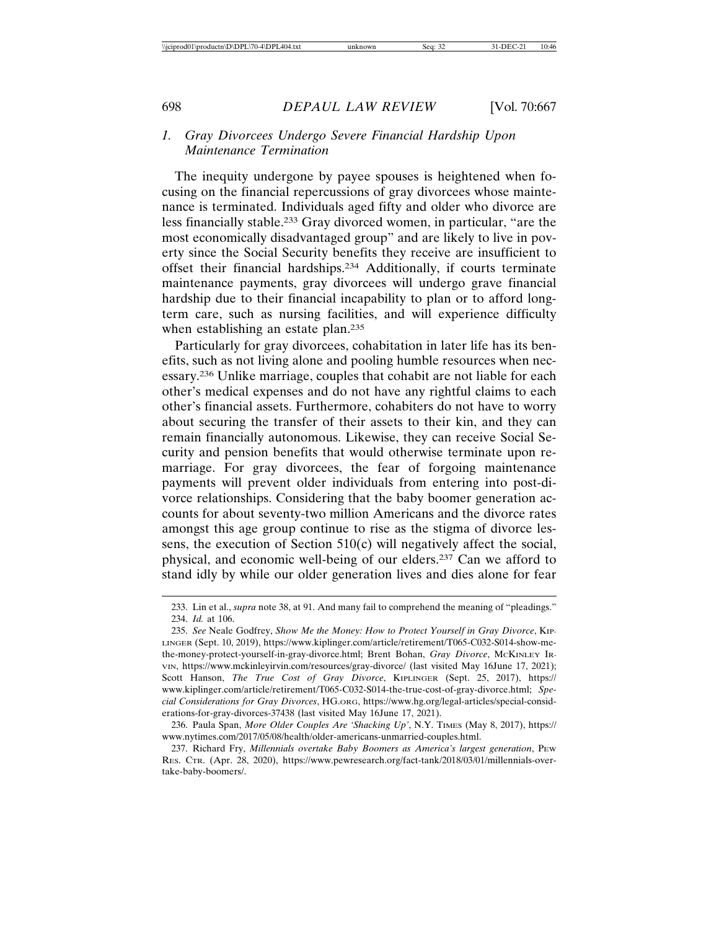### *1. Gray Divorcees Undergo Severe Financial Hardship Upon Maintenance Termination*

The inequity undergone by payee spouses is heightened when focusing on the financial repercussions of gray divorcees whose maintenance is terminated. Individuals aged fifty and older who divorce are less financially stable.233 Gray divorced women, in particular, "are the most economically disadvantaged group" and are likely to live in poverty since the Social Security benefits they receive are insufficient to offset their financial hardships.234 Additionally, if courts terminate maintenance payments, gray divorcees will undergo grave financial hardship due to their financial incapability to plan or to afford longterm care, such as nursing facilities, and will experience difficulty when establishing an estate plan.<sup>235</sup>

Particularly for gray divorcees, cohabitation in later life has its benefits, such as not living alone and pooling humble resources when necessary.236 Unlike marriage, couples that cohabit are not liable for each other's medical expenses and do not have any rightful claims to each other's financial assets. Furthermore, cohabiters do not have to worry about securing the transfer of their assets to their kin, and they can remain financially autonomous. Likewise, they can receive Social Security and pension benefits that would otherwise terminate upon remarriage. For gray divorcees, the fear of forgoing maintenance payments will prevent older individuals from entering into post-divorce relationships. Considering that the baby boomer generation accounts for about seventy-two million Americans and the divorce rates amongst this age group continue to rise as the stigma of divorce lessens, the execution of Section 510(c) will negatively affect the social, physical, and economic well-being of our elders.237 Can we afford to stand idly by while our older generation lives and dies alone for fear

<sup>233.</sup> Lin et al., *supra* note 38, at 91. And many fail to comprehend the meaning of "pleadings." 234. *Id.* at 106.

<sup>235.</sup> *See* Neale Godfrey, *Show Me the Money: How to Protect Yourself in Gray Divorce*, KIP-LINGER (Sept. 10, 2019), https://www.kiplinger.com/article/retirement/T065-C032-S014-show-methe-money-protect-yourself-in-gray-divorce.html; Brent Bohan, *Gray Divorce*, MCKINLEY IR-VIN, https://www.mckinleyirvin.com/resources/gray-divorce/ (last visited May 16June 17, 2021); Scott Hanson, *The True Cost of Gray Divorce*, KIPLINGER (Sept. 25, 2017), https:// www.kiplinger.com/article/retirement/T065-C032-S014-the-true-cost-of-gray-divorce.html; *Special Considerations for Gray Divorces*, HG.ORG, https://www.hg.org/legal-articles/special-considerations-for-gray-divorces-37438 (last visited May 16June 17, 2021).

<sup>236.</sup> Paula Span, *More Older Couples Are 'Shacking Up'*, N.Y. TIMES (May 8, 2017), https:// www.nytimes.com/2017/05/08/health/older-americans-unmarried-couples.html.

<sup>237.</sup> Richard Fry, *Millennials overtake Baby Boomers as America's largest generation*, PEW RES. CTR. (Apr. 28, 2020), https://www.pewresearch.org/fact-tank/2018/03/01/millennials-overtake-baby-boomers/.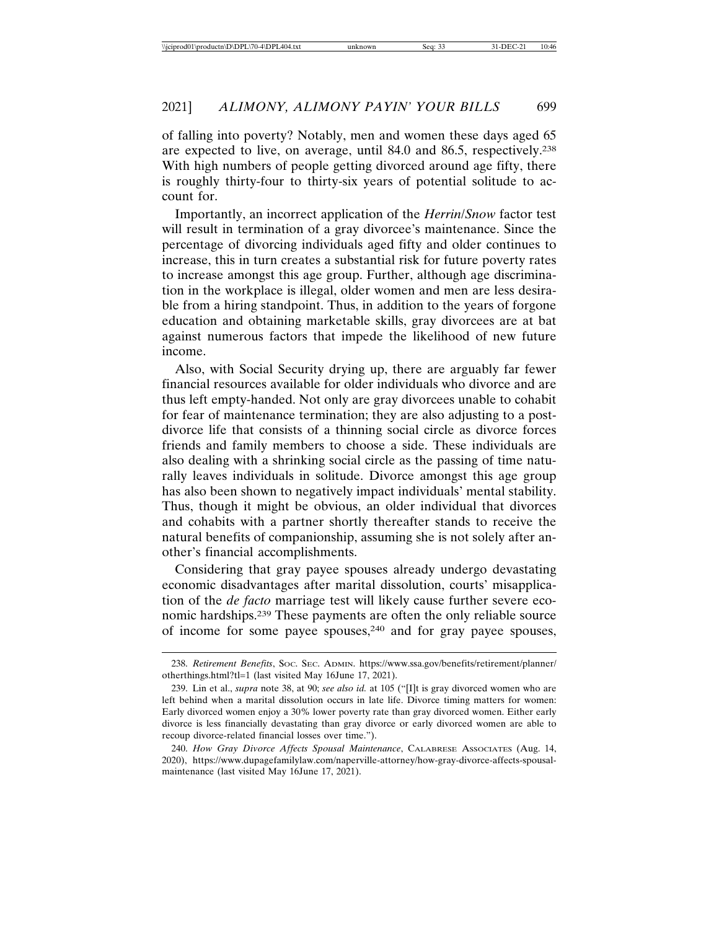of falling into poverty? Notably, men and women these days aged 65 are expected to live, on average, until 84.0 and 86.5, respectively.238 With high numbers of people getting divorced around age fifty, there is roughly thirty-four to thirty-six years of potential solitude to account for.

Importantly, an incorrect application of the *Herrin*/*Snow* factor test will result in termination of a gray divorcee's maintenance. Since the percentage of divorcing individuals aged fifty and older continues to increase, this in turn creates a substantial risk for future poverty rates to increase amongst this age group. Further, although age discrimination in the workplace is illegal, older women and men are less desirable from a hiring standpoint. Thus, in addition to the years of forgone education and obtaining marketable skills, gray divorcees are at bat against numerous factors that impede the likelihood of new future income.

Also, with Social Security drying up, there are arguably far fewer financial resources available for older individuals who divorce and are thus left empty-handed. Not only are gray divorcees unable to cohabit for fear of maintenance termination; they are also adjusting to a postdivorce life that consists of a thinning social circle as divorce forces friends and family members to choose a side. These individuals are also dealing with a shrinking social circle as the passing of time naturally leaves individuals in solitude. Divorce amongst this age group has also been shown to negatively impact individuals' mental stability. Thus, though it might be obvious, an older individual that divorces and cohabits with a partner shortly thereafter stands to receive the natural benefits of companionship, assuming she is not solely after another's financial accomplishments.

Considering that gray payee spouses already undergo devastating economic disadvantages after marital dissolution, courts' misapplication of the *de facto* marriage test will likely cause further severe economic hardships.239 These payments are often the only reliable source of income for some payee spouses, $240$  and for gray payee spouses,

<sup>238.</sup> *Retirement Benefits*, SOC. SEC. ADMIN. https://www.ssa.gov/benefits/retirement/planner/ otherthings.html?tl=1 (last visited May 16June 17, 2021).

<sup>239.</sup> Lin et al., *supra* note 38, at 90; *see also id.* at 105 ("[I]t is gray divorced women who are left behind when a marital dissolution occurs in late life. Divorce timing matters for women: Early divorced women enjoy a 30% lower poverty rate than gray divorced women. Either early divorce is less financially devastating than gray divorce or early divorced women are able to recoup divorce-related financial losses over time.").

<sup>240.</sup> *How Gray Divorce Affects Spousal Maintenance*, CALABRESE ASSOCIATES (Aug. 14, 2020), https://www.dupagefamilylaw.com/naperville-attorney/how-gray-divorce-affects-spousalmaintenance (last visited May 16June 17, 2021).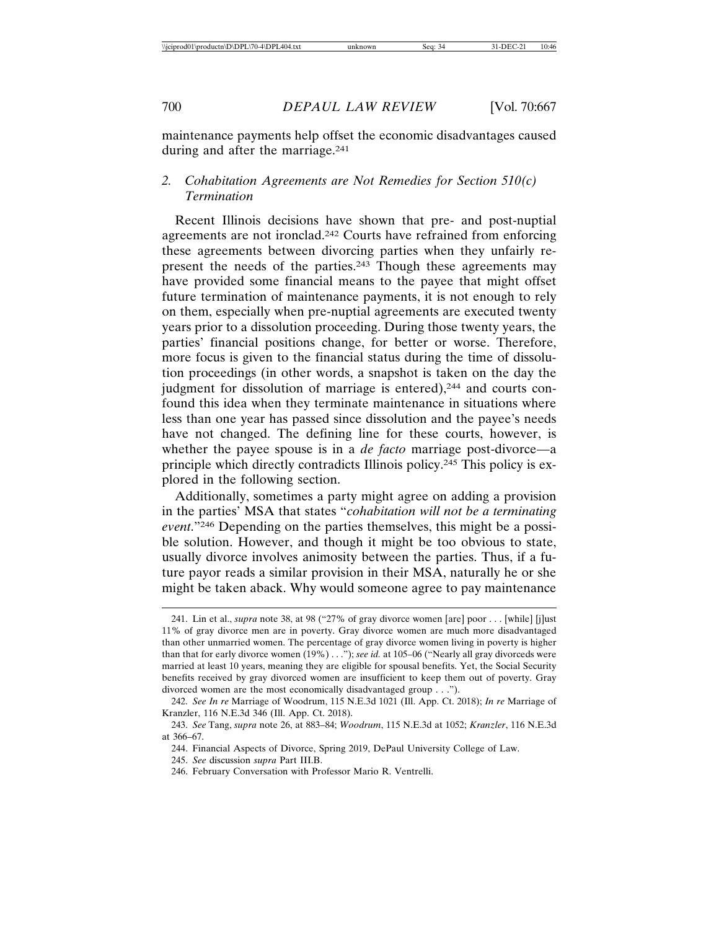maintenance payments help offset the economic disadvantages caused during and after the marriage.241

## *2. Cohabitation Agreements are Not Remedies for Section 510(c) Termination*

Recent Illinois decisions have shown that pre- and post-nuptial agreements are not ironclad.242 Courts have refrained from enforcing these agreements between divorcing parties when they unfairly represent the needs of the parties.243 Though these agreements may have provided some financial means to the payee that might offset future termination of maintenance payments, it is not enough to rely on them, especially when pre-nuptial agreements are executed twenty years prior to a dissolution proceeding. During those twenty years, the parties' financial positions change, for better or worse. Therefore, more focus is given to the financial status during the time of dissolution proceedings (in other words, a snapshot is taken on the day the judgment for dissolution of marriage is entered),<sup>244</sup> and courts confound this idea when they terminate maintenance in situations where less than one year has passed since dissolution and the payee's needs have not changed. The defining line for these courts, however, is whether the payee spouse is in a *de facto* marriage post-divorce—a principle which directly contradicts Illinois policy.245 This policy is explored in the following section.

Additionally, sometimes a party might agree on adding a provision in the parties' MSA that states "*cohabitation will not be a terminating event*."246 Depending on the parties themselves, this might be a possible solution. However, and though it might be too obvious to state, usually divorce involves animosity between the parties. Thus, if a future payor reads a similar provision in their MSA, naturally he or she might be taken aback. Why would someone agree to pay maintenance

245. *See* discussion *supra* Part III.B.

<sup>241.</sup> Lin et al., *supra* note 38, at 98 ("27% of gray divorce women [are] poor . . . [while] [j]ust 11% of gray divorce men are in poverty. Gray divorce women are much more disadvantaged than other unmarried women. The percentage of gray divorce women living in poverty is higher than that for early divorce women (19%) . . ."); *see id.* at 105–06 ("Nearly all gray divorceds were married at least 10 years, meaning they are eligible for spousal benefits. Yet, the Social Security benefits received by gray divorced women are insufficient to keep them out of poverty. Gray divorced women are the most economically disadvantaged group . . .").

<sup>242.</sup> *See In re* Marriage of Woodrum, 115 N.E.3d 1021 (Ill. App. Ct. 2018); *In re* Marriage of Kranzler, 116 N.E.3d 346 (Ill. App. Ct. 2018).

<sup>243.</sup> *See* Tang, *supra* note 26, at 883–84; *Woodrum*, 115 N.E.3d at 1052; *Kranzler*, 116 N.E.3d at 366–67.

<sup>244.</sup> Financial Aspects of Divorce, Spring 2019, DePaul University College of Law.

<sup>246.</sup> February Conversation with Professor Mario R. Ventrelli.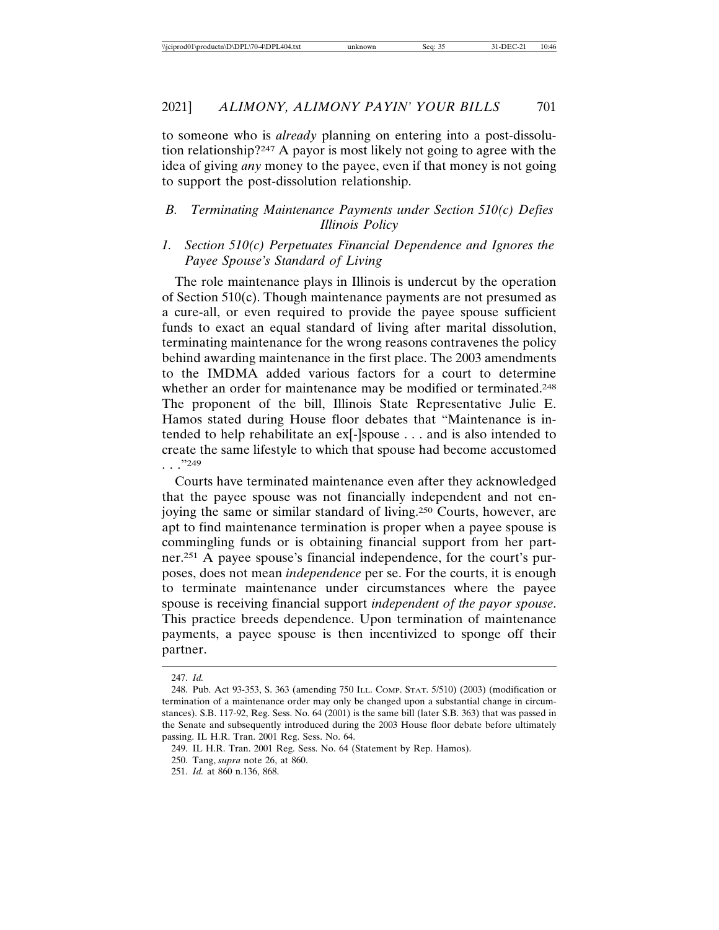to someone who is *already* planning on entering into a post-dissolution relationship?247 A payor is most likely not going to agree with the idea of giving *any* money to the payee, even if that money is not going to support the post-dissolution relationship.

## *B. Terminating Maintenance Payments under Section 510(c) Defies Illinois Policy*

## *1. Section 510(c) Perpetuates Financial Dependence and Ignores the Payee Spouse's Standard of Living*

The role maintenance plays in Illinois is undercut by the operation of Section 510(c). Though maintenance payments are not presumed as a cure-all, or even required to provide the payee spouse sufficient funds to exact an equal standard of living after marital dissolution, terminating maintenance for the wrong reasons contravenes the policy behind awarding maintenance in the first place. The 2003 amendments to the IMDMA added various factors for a court to determine whether an order for maintenance may be modified or terminated.<sup>248</sup> The proponent of the bill, Illinois State Representative Julie E. Hamos stated during House floor debates that "Maintenance is intended to help rehabilitate an ex[-]spouse . . . and is also intended to create the same lifestyle to which that spouse had become accustomed . . ."249

Courts have terminated maintenance even after they acknowledged that the payee spouse was not financially independent and not enjoying the same or similar standard of living.250 Courts, however, are apt to find maintenance termination is proper when a payee spouse is commingling funds or is obtaining financial support from her partner.251 A payee spouse's financial independence, for the court's purposes, does not mean *independence* per se. For the courts, it is enough to terminate maintenance under circumstances where the payee spouse is receiving financial support *independent of the payor spouse*. This practice breeds dependence. Upon termination of maintenance payments, a payee spouse is then incentivized to sponge off their partner.

<sup>247.</sup> *Id.*

<sup>248.</sup> Pub. Act 93-353, S. 363 (amending 750 ILL. COMP. STAT. 5/510) (2003) (modification or termination of a maintenance order may only be changed upon a substantial change in circumstances). S.B. 117-92, Reg. Sess. No. 64 (2001) is the same bill (later S.B. 363) that was passed in the Senate and subsequently introduced during the 2003 House floor debate before ultimately passing. IL H.R. Tran. 2001 Reg. Sess. No. 64.

<sup>249.</sup> IL H.R. Tran. 2001 Reg. Sess. No. 64 (Statement by Rep. Hamos).

<sup>250.</sup> Tang, *supra* note 26, at 860.

<sup>251.</sup> *Id.* at 860 n.136, 868.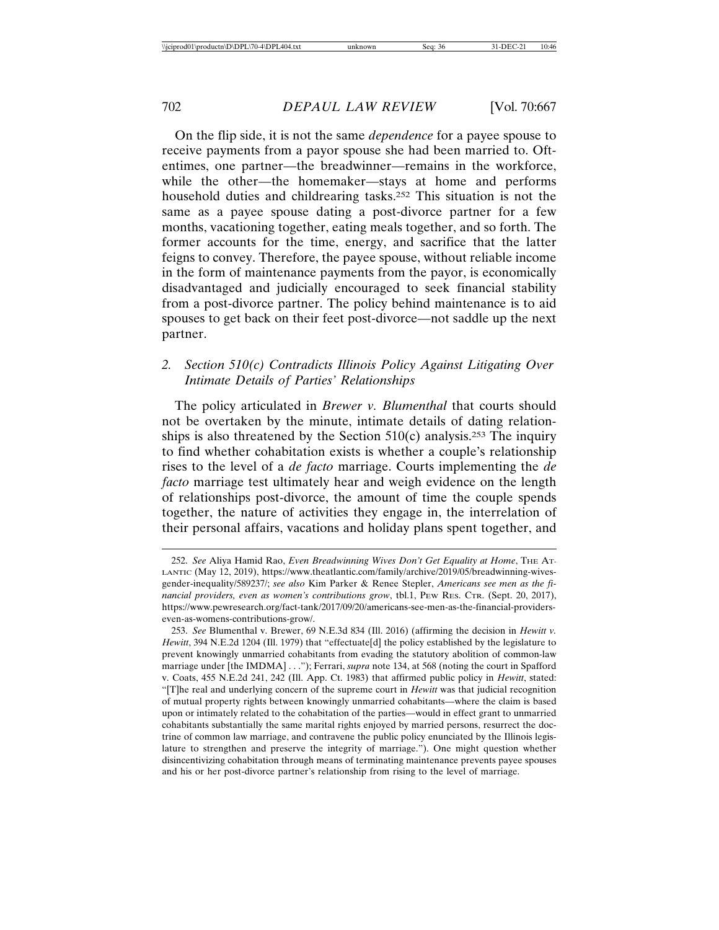On the flip side, it is not the same *dependence* for a payee spouse to receive payments from a payor spouse she had been married to. Oftentimes, one partner—the breadwinner—remains in the workforce, while the other—the homemaker—stays at home and performs household duties and childrearing tasks.252 This situation is not the same as a payee spouse dating a post-divorce partner for a few months, vacationing together, eating meals together, and so forth. The former accounts for the time, energy, and sacrifice that the latter feigns to convey. Therefore, the payee spouse, without reliable income in the form of maintenance payments from the payor, is economically disadvantaged and judicially encouraged to seek financial stability from a post-divorce partner. The policy behind maintenance is to aid spouses to get back on their feet post-divorce—not saddle up the next partner.

## *2. Section 510(c) Contradicts Illinois Policy Against Litigating Over Intimate Details of Parties' Relationships*

The policy articulated in *Brewer v. Blumenthal* that courts should not be overtaken by the minute, intimate details of dating relationships is also threatened by the Section  $510(c)$  analysis.<sup>253</sup> The inquiry to find whether cohabitation exists is whether a couple's relationship rises to the level of a *de facto* marriage. Courts implementing the *de facto* marriage test ultimately hear and weigh evidence on the length of relationships post-divorce, the amount of time the couple spends together, the nature of activities they engage in, the interrelation of their personal affairs, vacations and holiday plans spent together, and

<sup>252.</sup> *See* Aliya Hamid Rao, *Even Breadwinning Wives Don't Get Equality at Home*, THE AT-LANTIC (May 12, 2019), https://www.theatlantic.com/family/archive/2019/05/breadwinning-wivesgender-inequality/589237/; *see also* Kim Parker & Renee Stepler, *Americans see men as the financial providers, even as women's contributions grow*, tbl.1, PEW RES. CTR. (Sept. 20, 2017), https://www.pewresearch.org/fact-tank/2017/09/20/americans-see-men-as-the-financial-providerseven-as-womens-contributions-grow/.

<sup>253.</sup> *See* Blumenthal v. Brewer, 69 N.E.3d 834 (Ill. 2016) (affirming the decision in *Hewitt v. Hewitt*, 394 N.E.2d 1204 (Ill. 1979) that "effectuate[d] the policy established by the legislature to prevent knowingly unmarried cohabitants from evading the statutory abolition of common-law marriage under [the IMDMA] . . ."); Ferrari, *supra* note 134, at 568 (noting the court in Spafford v. Coats, 455 N.E.2d 241, 242 (Ill. App. Ct. 1983) that affirmed public policy in *Hewitt*, stated: "[T]he real and underlying concern of the supreme court in *Hewitt* was that judicial recognition of mutual property rights between knowingly unmarried cohabitants—where the claim is based upon or intimately related to the cohabitation of the parties—would in effect grant to unmarried cohabitants substantially the same marital rights enjoyed by married persons, resurrect the doctrine of common law marriage, and contravene the public policy enunciated by the Illinois legislature to strengthen and preserve the integrity of marriage."). One might question whether disincentivizing cohabitation through means of terminating maintenance prevents payee spouses and his or her post-divorce partner's relationship from rising to the level of marriage.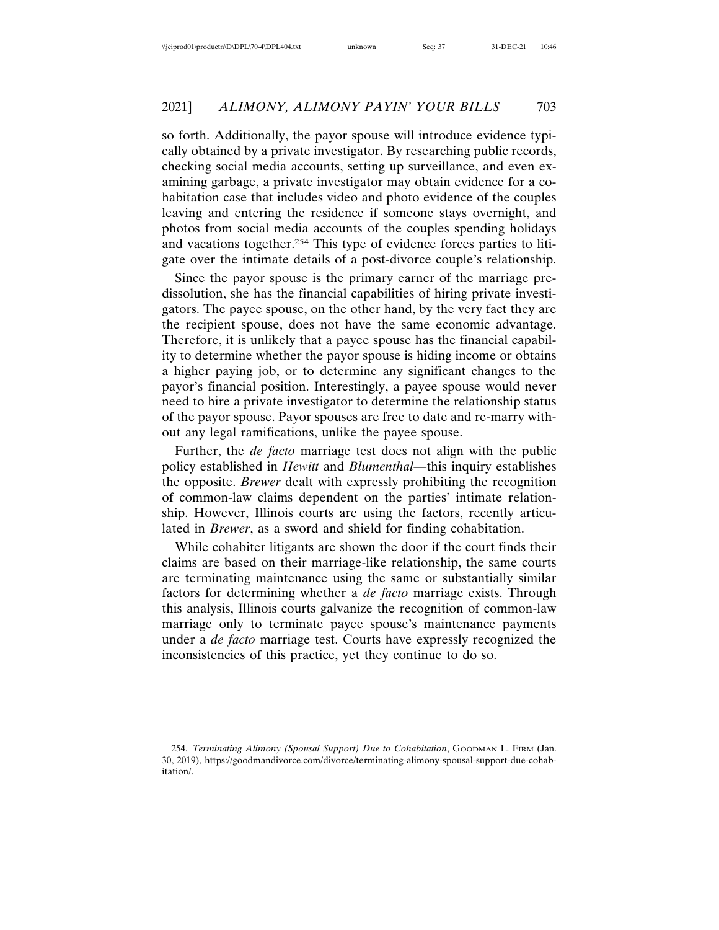so forth. Additionally, the payor spouse will introduce evidence typically obtained by a private investigator. By researching public records, checking social media accounts, setting up surveillance, and even examining garbage, a private investigator may obtain evidence for a cohabitation case that includes video and photo evidence of the couples leaving and entering the residence if someone stays overnight, and photos from social media accounts of the couples spending holidays and vacations together.254 This type of evidence forces parties to litigate over the intimate details of a post-divorce couple's relationship.

Since the payor spouse is the primary earner of the marriage predissolution, she has the financial capabilities of hiring private investigators. The payee spouse, on the other hand, by the very fact they are the recipient spouse, does not have the same economic advantage. Therefore, it is unlikely that a payee spouse has the financial capability to determine whether the payor spouse is hiding income or obtains a higher paying job, or to determine any significant changes to the payor's financial position. Interestingly, a payee spouse would never need to hire a private investigator to determine the relationship status of the payor spouse. Payor spouses are free to date and re-marry without any legal ramifications, unlike the payee spouse.

Further, the *de facto* marriage test does not align with the public policy established in *Hewitt* and *Blumenthal*—this inquiry establishes the opposite. *Brewer* dealt with expressly prohibiting the recognition of common-law claims dependent on the parties' intimate relationship. However, Illinois courts are using the factors, recently articulated in *Brewer*, as a sword and shield for finding cohabitation.

While cohabiter litigants are shown the door if the court finds their claims are based on their marriage-like relationship, the same courts are terminating maintenance using the same or substantially similar factors for determining whether a *de facto* marriage exists. Through this analysis, Illinois courts galvanize the recognition of common-law marriage only to terminate payee spouse's maintenance payments under a *de facto* marriage test. Courts have expressly recognized the inconsistencies of this practice, yet they continue to do so.

<sup>254.</sup> *Terminating Alimony (Spousal Support) Due to Cohabitation*, GOODMAN L. FIRM (Jan. 30, 2019), https://goodmandivorce.com/divorce/terminating-alimony-spousal-support-due-cohabitation/.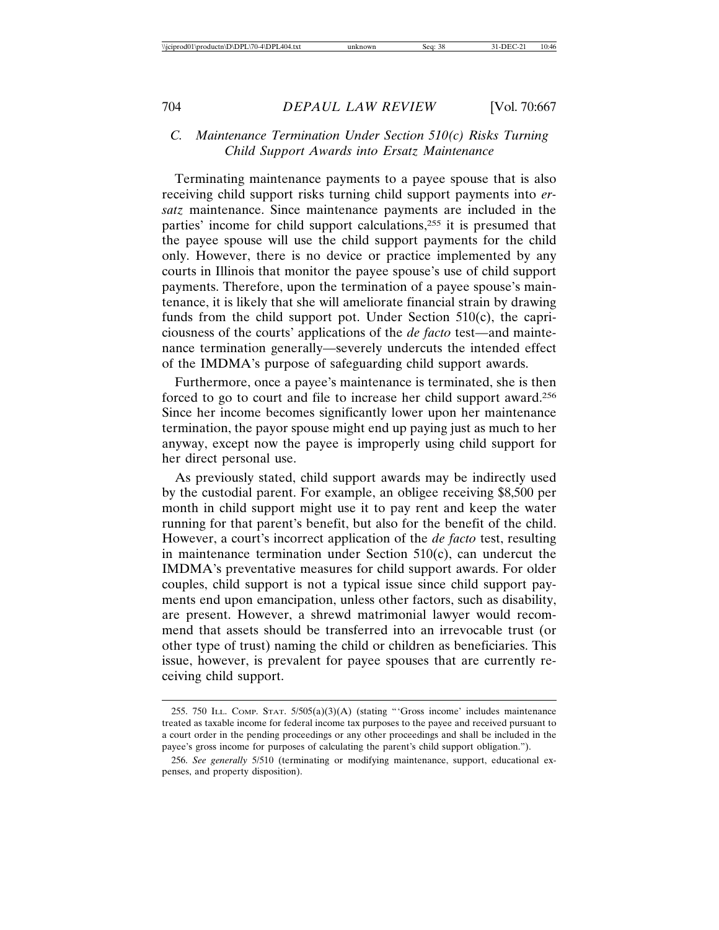## *C. Maintenance Termination Under Section 510(c) Risks Turning Child Support Awards into Ersatz Maintenance*

Terminating maintenance payments to a payee spouse that is also receiving child support risks turning child support payments into *ersatz* maintenance. Since maintenance payments are included in the parties' income for child support calculations,255 it is presumed that the payee spouse will use the child support payments for the child only. However, there is no device or practice implemented by any courts in Illinois that monitor the payee spouse's use of child support payments. Therefore, upon the termination of a payee spouse's maintenance, it is likely that she will ameliorate financial strain by drawing funds from the child support pot. Under Section 510(c), the capriciousness of the courts' applications of the *de facto* test—and maintenance termination generally—severely undercuts the intended effect of the IMDMA's purpose of safeguarding child support awards.

Furthermore, once a payee's maintenance is terminated, she is then forced to go to court and file to increase her child support award.256 Since her income becomes significantly lower upon her maintenance termination, the payor spouse might end up paying just as much to her anyway, except now the payee is improperly using child support for her direct personal use.

As previously stated, child support awards may be indirectly used by the custodial parent. For example, an obligee receiving \$8,500 per month in child support might use it to pay rent and keep the water running for that parent's benefit, but also for the benefit of the child. However, a court's incorrect application of the *de facto* test, resulting in maintenance termination under Section 510(c), can undercut the IMDMA's preventative measures for child support awards. For older couples, child support is not a typical issue since child support payments end upon emancipation, unless other factors, such as disability, are present. However, a shrewd matrimonial lawyer would recommend that assets should be transferred into an irrevocable trust (or other type of trust) naming the child or children as beneficiaries. This issue, however, is prevalent for payee spouses that are currently receiving child support.

<sup>255. 750</sup> ILL. COMP. STAT.  $5/505(a)(3)(A)$  (stating "'Gross income' includes maintenance treated as taxable income for federal income tax purposes to the payee and received pursuant to a court order in the pending proceedings or any other proceedings and shall be included in the payee's gross income for purposes of calculating the parent's child support obligation.").

<sup>256.</sup> *See generally* 5/510 (terminating or modifying maintenance, support, educational expenses, and property disposition).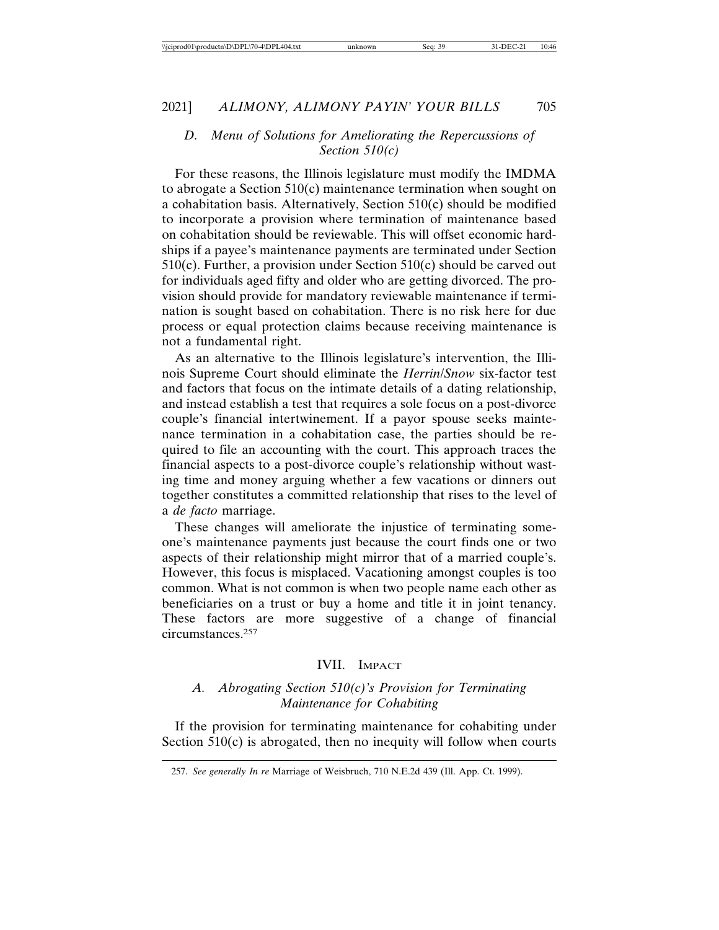## *D. Menu of Solutions for Ameliorating the Repercussions of Section 510(c)*

For these reasons, the Illinois legislature must modify the IMDMA to abrogate a Section 510(c) maintenance termination when sought on a cohabitation basis. Alternatively, Section 510(c) should be modified to incorporate a provision where termination of maintenance based on cohabitation should be reviewable. This will offset economic hardships if a payee's maintenance payments are terminated under Section  $510(c)$ . Further, a provision under Section  $510(c)$  should be carved out for individuals aged fifty and older who are getting divorced. The provision should provide for mandatory reviewable maintenance if termination is sought based on cohabitation. There is no risk here for due process or equal protection claims because receiving maintenance is not a fundamental right.

As an alternative to the Illinois legislature's intervention, the Illinois Supreme Court should eliminate the *Herrin*/*Snow* six-factor test and factors that focus on the intimate details of a dating relationship, and instead establish a test that requires a sole focus on a post-divorce couple's financial intertwinement. If a payor spouse seeks maintenance termination in a cohabitation case, the parties should be required to file an accounting with the court. This approach traces the financial aspects to a post-divorce couple's relationship without wasting time and money arguing whether a few vacations or dinners out together constitutes a committed relationship that rises to the level of a *de facto* marriage.

These changes will ameliorate the injustice of terminating someone's maintenance payments just because the court finds one or two aspects of their relationship might mirror that of a married couple's. However, this focus is misplaced. Vacationing amongst couples is too common. What is not common is when two people name each other as beneficiaries on a trust or buy a home and title it in joint tenancy. These factors are more suggestive of a change of financial circumstances.257

#### IVII. IMPACT

## *A. Abrogating Section 510(c)'s Provision for Terminating Maintenance for Cohabiting*

If the provision for terminating maintenance for cohabiting under Section  $510(c)$  is abrogated, then no inequity will follow when courts

<sup>257.</sup> *See generally In re* Marriage of Weisbruch, 710 N.E.2d 439 (Ill. App. Ct. 1999).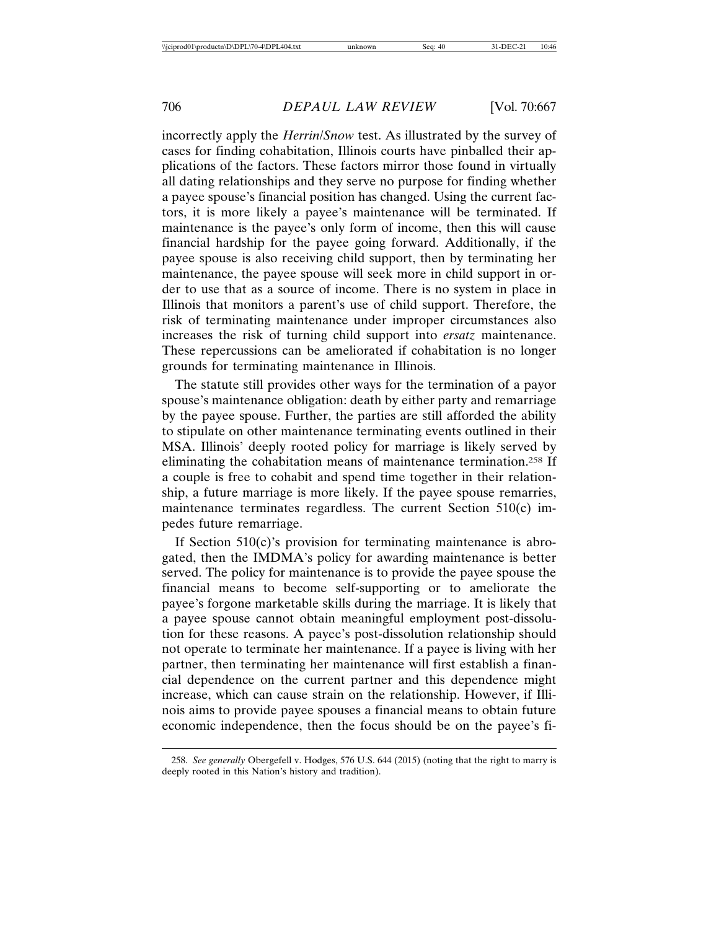incorrectly apply the *Herrin*/*Snow* test. As illustrated by the survey of cases for finding cohabitation, Illinois courts have pinballed their applications of the factors. These factors mirror those found in virtually all dating relationships and they serve no purpose for finding whether a payee spouse's financial position has changed. Using the current factors, it is more likely a payee's maintenance will be terminated. If maintenance is the payee's only form of income, then this will cause financial hardship for the payee going forward. Additionally, if the payee spouse is also receiving child support, then by terminating her maintenance, the payee spouse will seek more in child support in order to use that as a source of income. There is no system in place in Illinois that monitors a parent's use of child support. Therefore, the risk of terminating maintenance under improper circumstances also increases the risk of turning child support into *ersatz* maintenance. These repercussions can be ameliorated if cohabitation is no longer grounds for terminating maintenance in Illinois.

The statute still provides other ways for the termination of a payor spouse's maintenance obligation: death by either party and remarriage by the payee spouse. Further, the parties are still afforded the ability to stipulate on other maintenance terminating events outlined in their MSA. Illinois' deeply rooted policy for marriage is likely served by eliminating the cohabitation means of maintenance termination.258 If a couple is free to cohabit and spend time together in their relationship, a future marriage is more likely. If the payee spouse remarries, maintenance terminates regardless. The current Section 510(c) impedes future remarriage.

If Section  $510(c)$ 's provision for terminating maintenance is abrogated, then the IMDMA's policy for awarding maintenance is better served. The policy for maintenance is to provide the payee spouse the financial means to become self-supporting or to ameliorate the payee's forgone marketable skills during the marriage. It is likely that a payee spouse cannot obtain meaningful employment post-dissolution for these reasons. A payee's post-dissolution relationship should not operate to terminate her maintenance. If a payee is living with her partner, then terminating her maintenance will first establish a financial dependence on the current partner and this dependence might increase, which can cause strain on the relationship. However, if Illinois aims to provide payee spouses a financial means to obtain future economic independence, then the focus should be on the payee's fi-

<sup>258.</sup> *See generally* Obergefell v. Hodges, 576 U.S. 644 (2015) (noting that the right to marry is deeply rooted in this Nation's history and tradition).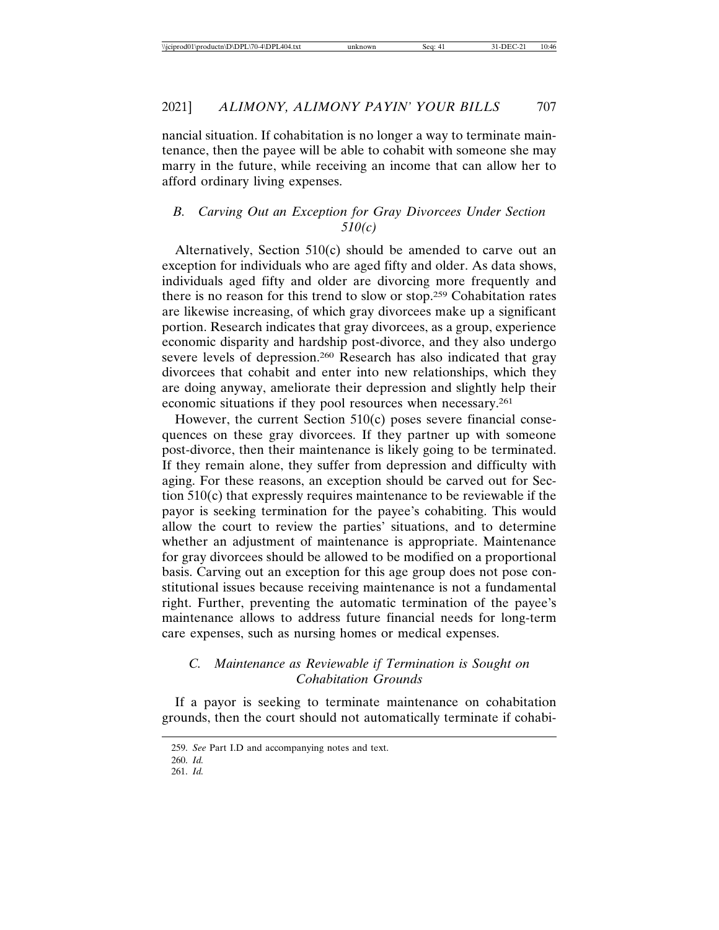nancial situation. If cohabitation is no longer a way to terminate maintenance, then the payee will be able to cohabit with someone she may marry in the future, while receiving an income that can allow her to afford ordinary living expenses.

## *B. Carving Out an Exception for Gray Divorcees Under Section 510(c)*

Alternatively, Section 510(c) should be amended to carve out an exception for individuals who are aged fifty and older. As data shows, individuals aged fifty and older are divorcing more frequently and there is no reason for this trend to slow or stop.259 Cohabitation rates are likewise increasing, of which gray divorcees make up a significant portion. Research indicates that gray divorcees, as a group, experience economic disparity and hardship post-divorce, and they also undergo severe levels of depression.260 Research has also indicated that gray divorcees that cohabit and enter into new relationships, which they are doing anyway, ameliorate their depression and slightly help their economic situations if they pool resources when necessary.261

However, the current Section 510(c) poses severe financial consequences on these gray divorcees. If they partner up with someone post-divorce, then their maintenance is likely going to be terminated. If they remain alone, they suffer from depression and difficulty with aging. For these reasons, an exception should be carved out for Section 510(c) that expressly requires maintenance to be reviewable if the payor is seeking termination for the payee's cohabiting. This would allow the court to review the parties' situations, and to determine whether an adjustment of maintenance is appropriate. Maintenance for gray divorcees should be allowed to be modified on a proportional basis. Carving out an exception for this age group does not pose constitutional issues because receiving maintenance is not a fundamental right. Further, preventing the automatic termination of the payee's maintenance allows to address future financial needs for long-term care expenses, such as nursing homes or medical expenses.

## *C. Maintenance as Reviewable if Termination is Sought on Cohabitation Grounds*

If a payor is seeking to terminate maintenance on cohabitation grounds, then the court should not automatically terminate if cohabi-

<sup>259.</sup> *See* Part I.D and accompanying notes and text.

<sup>260.</sup> *Id.* 261. *Id.*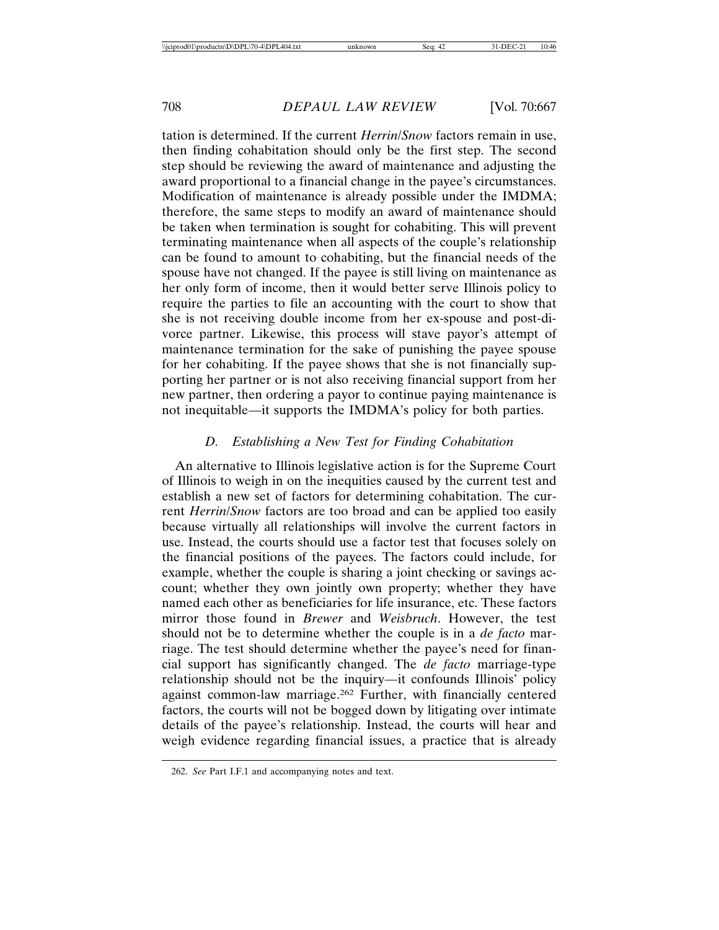tation is determined. If the current *Herrin*/*Snow* factors remain in use, then finding cohabitation should only be the first step. The second step should be reviewing the award of maintenance and adjusting the award proportional to a financial change in the payee's circumstances. Modification of maintenance is already possible under the IMDMA; therefore, the same steps to modify an award of maintenance should be taken when termination is sought for cohabiting. This will prevent terminating maintenance when all aspects of the couple's relationship can be found to amount to cohabiting, but the financial needs of the spouse have not changed. If the payee is still living on maintenance as her only form of income, then it would better serve Illinois policy to require the parties to file an accounting with the court to show that she is not receiving double income from her ex-spouse and post-divorce partner. Likewise, this process will stave payor's attempt of maintenance termination for the sake of punishing the payee spouse for her cohabiting. If the payee shows that she is not financially supporting her partner or is not also receiving financial support from her new partner, then ordering a payor to continue paying maintenance is not inequitable—it supports the IMDMA's policy for both parties.

#### *D. Establishing a New Test for Finding Cohabitation*

An alternative to Illinois legislative action is for the Supreme Court of Illinois to weigh in on the inequities caused by the current test and establish a new set of factors for determining cohabitation. The current *Herrin*/*Snow* factors are too broad and can be applied too easily because virtually all relationships will involve the current factors in use. Instead, the courts should use a factor test that focuses solely on the financial positions of the payees. The factors could include, for example, whether the couple is sharing a joint checking or savings account; whether they own jointly own property; whether they have named each other as beneficiaries for life insurance, etc. These factors mirror those found in *Brewer* and *Weisbruch*. However, the test should not be to determine whether the couple is in a *de facto* marriage. The test should determine whether the payee's need for financial support has significantly changed. The *de facto* marriage-type relationship should not be the inquiry—it confounds Illinois' policy against common-law marriage.262 Further, with financially centered factors, the courts will not be bogged down by litigating over intimate details of the payee's relationship. Instead, the courts will hear and weigh evidence regarding financial issues, a practice that is already

<sup>262.</sup> *See* Part I.F.1 and accompanying notes and text.